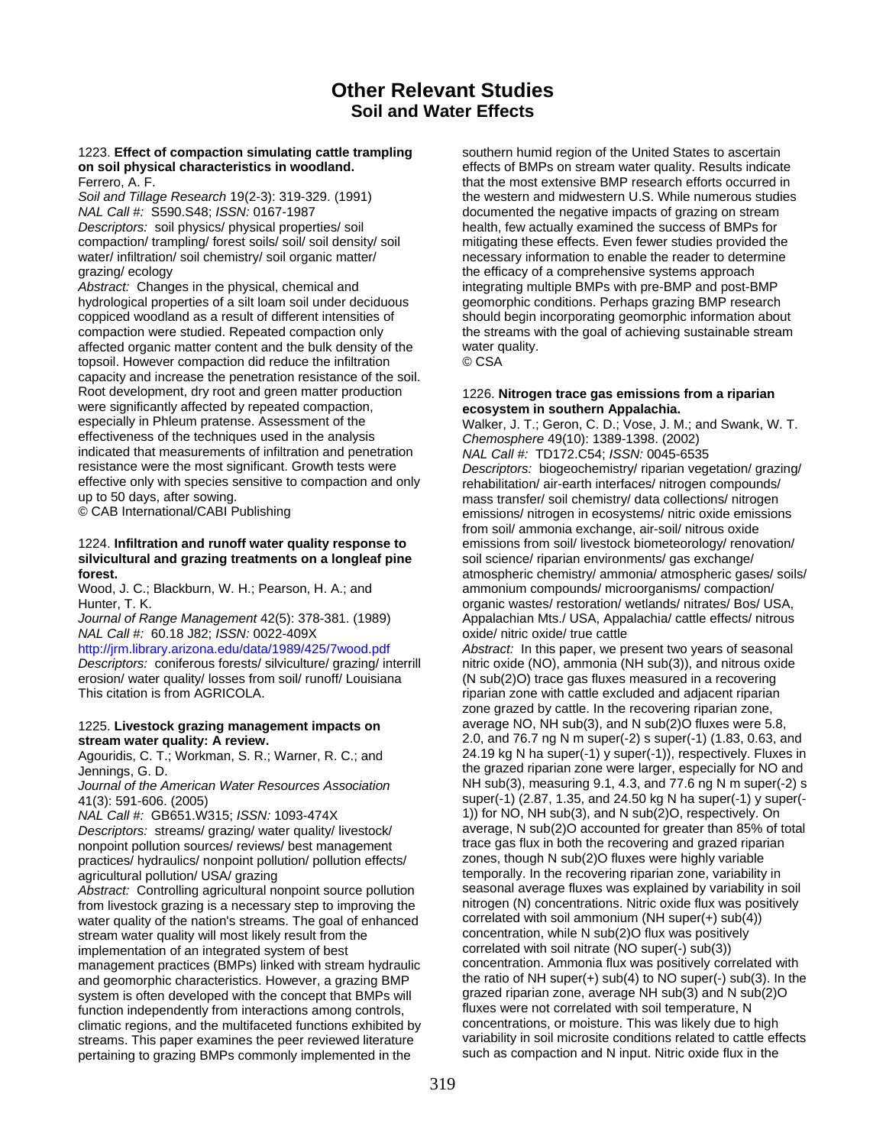## **Other Relevant Studies Soil and Water Effects**

# 1223. **Effect of compaction simulating cattle trampling** southern humid region of the United States to ascertain

*NAL Call #:* S590.S48; *ISSN:* 0167-1987 documented the negative impacts of grazing on stream *Descriptors:* soil physics/ physical properties/ soil health, few actually examined the success of BMPs for

hydrological properties of a silt loam soil under deciduous geomorphic conditions. Perhaps grazing BMP research coppiced woodland as a result of different intensities of should begin incorporating geomorphic information about compaction were studied. Repeated compaction only the streams with the goal of achieving sustainable stream affected organic matter content and the bulk density of the water quality. topsoil. However compaction did reduce the infiltration © CSA capacity and increase the penetration resistance of the soil. Root development, dry root and green matter production 1226. **Nitrogen trace gas emissions from a riparian**  were significantly affected by repeated compaction,<br> **ecosystem in southern Appalachia.**<br>
Walker, J. T.: Geron. C. D.: Vose. J. M effectiveness of the techniques used in the analysis *Chemosphere* 49(10): 1389-1398. (2002) indicated that measurements of infiltration and penetration *NAL Call #:* TD172.C54; *ISSN:* 0045-6535 resistance were the most significant. Growth tests were *Descriptors:* biogeochemistry/ riparian vegetation/ grazing/<br>effective only with species sensitive to compaction and only rehabilitation/ air-earth interfaces/ nitro effective only with species sensitive to compaction and only rehabilitation/ air-earth interfaces/ nitrogen compounds/<br>mass transfer/ soil chemistry/ data collections/ nitrogen

## 1224. **Infiltration and runoff water quality response to** emissions from soil/ livestock biometeorology/ renovation/ **silvicultural and grazing treatments on a longleaf pine** soil science/ riparian environments/ gas exchange/

Wood, J. C.; Blackburn, W. H.; Pearson, H. A.; and

*NAL Call #:* 60.18 J82; *ISSN:* 0022-409X oxide/ nitric oxide/ true cattle

*Descriptors:* coniferous forests/ silviculture/ grazing/ interrill nitric oxide (NO), ammonia (NH sub(3)), and nitrous oxide erosion/ water quality/ losses from soil/ runoff/ Louisiana (N sub(2)O) trace gas fluxes measured in a recovering<br>This citation is from AGRICOLA.

*Journal of the American Water Resources Association* 

nonpoint pollution sources/ reviews/ best management trace gas flux in both the recovering and grazed riparian<br>practices/ hydraulics/ nonpoint pollution/ pollution effects/ zones, though N sub(2)O fluxes were highly variab practices/ hydraulics/ nonpoint pollution/ pollution effects/

*Abstract:* Controlling agricultural nonpoint source pollution seasonal average fluxes was explained by variability in soil from livestock grazing is a necessary step to improving the nitrogen (N) concentrations. Nitric oxide flux was positively water quality of the nation's streams. The goal of enhanced correlated with soil ammonium (NH super( water quality of the nation's streams. The goal of enhanced correlated with soil ammonium (NH super(+) sub(4)<br>stream water quality will most likely result from the concentration, while N sub(2)O flux was positively stream water quality will most likely result from the concentration, while N sub(2)O flux was positively implementation of an integrated system of best correlated with soil nitrate (NO super(-) sub(3)) implementation of an integrated system of best entity correlated with soil nitrate (NO super(-) sub(3))<br>management practices (BMPs) linked with stream hydraulic concentration. Ammonia flux was positively correlated with and geomorphic characteristics. However, a grazing BMP the ratio of NH super(+) sub(4) to NO super(-) sub(3). In the ratio of NH super(+) sub(3) and N sub(2)O system is often developed with the concept that BMPs will grazed riparian zone, average NH sub(3) and N su<br>fluxes were not correlated with soil temperature, N<br>fluxes were not correlated with soil temperature, N

pertaining to grazing BMPs commonly implemented in the

effects of BMPs on stream water quality. Results indicate Ferrero, A. F. that the most extensive BMP research efforts occurred in *Soil and Tillage Research* 19(2-3): 319-329. (1991) the western and midwestern U.S. While numerous studies compaction/ trampling/ forest soils/ soil/ soil density/ soil mitigating these effects. Even fewer studies provided the water/ infiltration/ soil chemistry/ soil organic matter/ necessary information to enable the reader to determine grazing/ ecology<br>
Abstract: Changes in the physical, chemical and the efficacy of a comprehensive systems approach<br>
integrating multiple BMPs with pre-BMP and post-B integrating multiple BMPs with pre-BMP and post-BMP

Walker, J. T.; Geron, C. D.; Vose, J. M.; and Swank, W. T. up to 50 days, after sowing.<br>© CAB International/CABI Publishing entity and the missions of principal conservations/ nitric oxide emission emissions/ nitrogen in ecosystems/ nitric oxide emissions from soil/ ammonia exchange, air-soil/ nitrous oxide **forest.**<br>
Wood. J. C.: Blackburn. W. H.: Pearson. H. A.: and **ammonium compounds/ microorganisms/ compaction/** Hunter, T. K. Charges and the contract of the contract of the contract of the contract of the contract of the contract of the contract of the contract of the contract of the contract of the contract of the contract of the Journal of Range Management 42(5): 378-381. (1989) Appalachian Mts./ USA, Appalachia/ cattle effects/ nitrous

<http://jrm.library.arizona.edu/data/1989/425/7wood.pdf>*Abstract:* In this paper, we present two years of seasonal riparian zone with cattle excluded and adjacent riparian zone grazed by cattle. In the recovering riparian zone, 1225. **Livestock grazing management impacts on** average NO, NH sub(3), and N sub(2)O fluxes were 5.8, **stream water quality: A review.** 2.0, and 76.7 ng N m super(-2) s super(-1) (1.83, 0.63, and Agouridis, C. T.; Workman, S. R.; Warner, R. C.; and 24.19 kg N ha super(-1) y super(-1)), respectively. Fluxes in Jennings, G. D.<br>Jennings, G. D. the grazed riparian zone were larger, especially for NO and<br>Journal of the American Water Resources Association NH sub(3), measuring 9.1, 4.3, and 77.6 ng N m super(-2) s 41(3): 591-606. (2005) super(-1) (2.87, 1.35, and 24.50 kg N ha super(-1) y super(- *NAL Call #:* GB651.W315; *ISSN:* 1093-474X 1)) for NO, NH sub(3), and N sub(2)O, respectively. On *Descriptors:* streams/ grazing/ water quality/ livestock/ average, N sub(2)O accounted for greater than 85% of total nonpoint pollution sources/ reviews/ best management trace gas flux in both the recovering and grazed ri agricultural pollution/ USA/ grazing the recover in temporally. In the recovering riparian zone, variability in<br>Abstract: Controlling agricultural nonpoint source pollution seasonal average fluxes was explained by variabil management practices (BMPs) linked with stream hydraulic concentration. Ammonia flux was positively correlated with<br>and geomorphic characteristics. However, a grazing BMP the ratio of NH super(+) sub(4) to NO super(-) sub( function independently from interactions among controls, fluxes were not correlated with soil temperature, N<br>
climatic regions, and the multifaceted functions exhibited by concentrations, or moisture. This was likely due t climatic regions, and the multifaceted functions exhibited by concentrations, or moisture. This was likely due to high<br>streams. This paper examines the peer reviewed literature variability in soil microsite conditions rela streams. This paper examines the peer reviewed literature variability in soil microsite conditions related to cattle effection and the pertaining to grazing BMPs commonly implemented in the such as compaction and N input.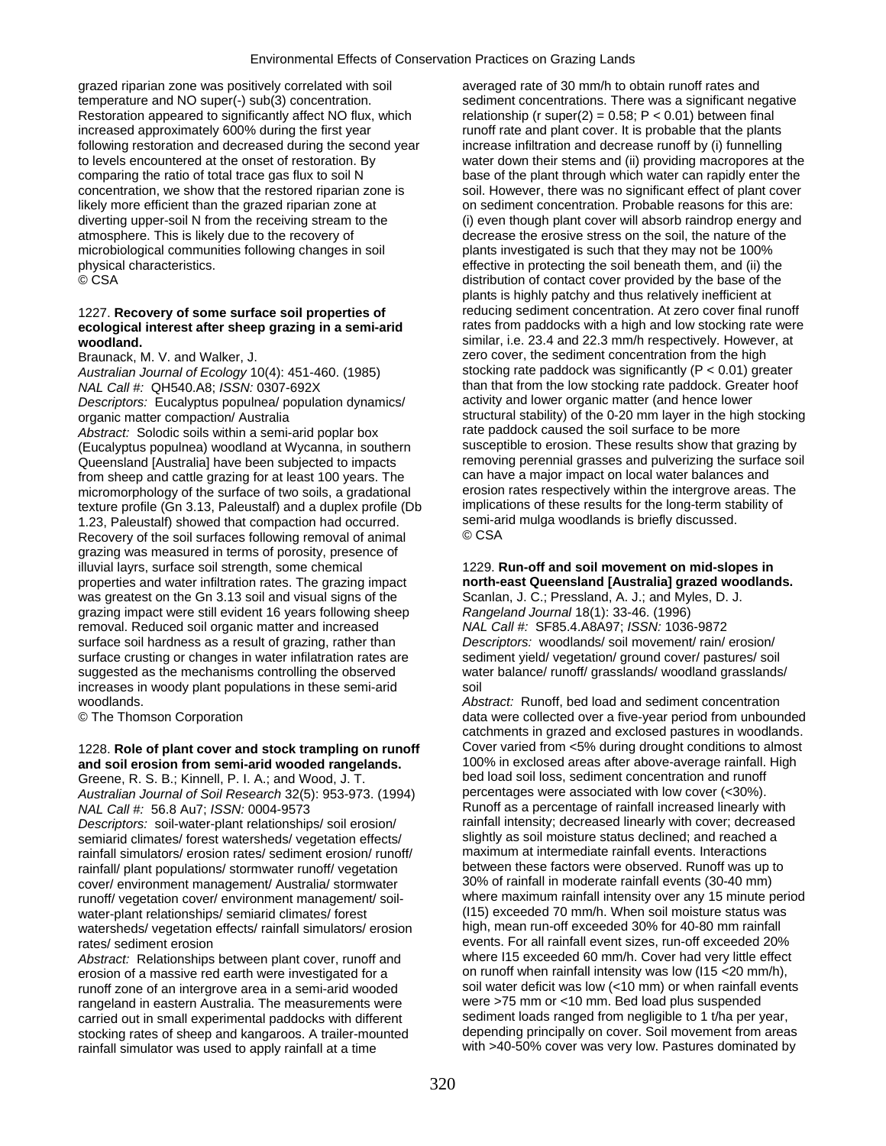grazed riparian zone was positively correlated with soil averaged rate of 30 mm/h to obtain runoff rates and temperature and NO super(-) sub(3) concentration. Sediment concentrations. There was a significant negative Restoration appeared to significantly affect NO flux, which relationship (r super(2) =  $0.58$ ; P < 0.01) between final increased approximately 600% during the first year runoff rate and plant cover. It is probable that the plants following restoration and decreased during the second year increase infiltration and decrease runoff by (i) funnelling comparing the ratio of total trace gas flux to soil N base of the plant through which water can rapidly enter the likely more efficient than the grazed riparian zone at on sediment concentration. Probable reasons for this are: atmosphere. This is likely due to the recovery of decrease the erosive stress on the soil, the nature of the microbiological communities following changes in soil plants investigated is such that they may not be 100% physical characteristics. effective in protecting the soil beneath them, and (ii) the

# ecological interest after sheep grazing in a semi-arid

*Australian Journal of Ecology* 10(4): 451-460. (1985) NAL Call #: QH540.A8; ISSN: 0307-692X *Descriptors:* Eucalyptus populnea/ population dynamics/ Abstract: Solodic soils within a semi-arid poplar box rate paddock caused the soil surface to be more<br>(Eucalvotus populnea) woodland at Wycanna, in southern susceptible to erosion. These results show that grazing by (Eucalyptus populnea) woodland at Wycanna, in southern from sheep and cattle grazing for at least 100 years. The can have a major impact on local water balances and<br>micromorphology of the surface of two soils, a gradational erosion rates respectively within the intergrove area micromorphology of the surface of two soils, a gradational erosion rates respectively within the intergrove areas. The texture profile (Gn 3.13, Paleustalf) and a duplex profile (Db implications of these results for the lo texture profile (Gn 3.13, Paleustalf) and a duplex profile (Db implications of these results for the long-term sta<br>1.23. Paleustalf) showed that compaction had occurred semi-arid mulga woodlands is briefly discussed. 1.23, Paleustalf) showed that compaction had occurred. semi-arid multiply semi-aritic multiply multiply multipl<br>Recovery of the soil surfaces following removal of animal  $\circ$  CSA Recovery of the soil surfaces following removal of animal grazing was measured in terms of porosity, presence of illuvial layrs, surface soil strength, some chemical 1229. **Run-off and soil movement on mid-slopes in**  properties and water infiltration rates. The grazing impact **north-east Queensland [Australia] grazed woodlands.**  was greatest on the Gn 3.13 soil and visual signs of the Scanlan, J. C.; Pressland, A. J.; and Myles, D. J. grazing impact were still evident 16 years following sheep *Rangeland Journal* 18(1): 33-46. (1996) removal. Reduced soil organic matter and increased *NAL Call #:* SF85.4.A8A97; *ISSN:* 1036-9872 surface soil hardness as a result of grazing, rather than *Descriptors:* woodlands/ soil movement/ rain/ erosion/ surface crusting or changes in water infilatration rates are sediment yield/ vegetation/ ground cover/ pastures/ soil suggested as the mechanisms controlling the observed water balance/ runoff/ grasslands/ woodland grasslands/ increases in woody plant populations in these semi-arid soil woodlands. *Abstract:* Runoff, bed load and sediment concentration

*Australian Journal of Soil Research* 32(5): 953-973. (1994). *NAL Call #: 56.8 Au7; <i>ISSN:* 0004-9573<br>*Descriptors: soil-water-plant relationshins/ soil erosion/* rainfall intensity; decreased linearly with cover; decreased *Descriptors:* soil-water-plant relationships/ soil erosion/ rainfall intensity; decreased linearly with cover; decreased semiarid climates/ forest watersheds/ vegetation effects/ slightly as soil moisture status declined; and reached<br>
rainfall simulators/ erosion rates/ sediment erosion/ runoff/ maximum at intermediate rainfall events. Inter rainfall simulators/ erosion rates/ sediment erosion/ runoff/ maximum at intermediate rainfall events. Interactions<br>
rainfall/ plant populations/ stormwater runoff/ vegetation between these factors were observed. Runoff wa rainfall/ plant populations/ stormwater runoff/ vegetation between these factors were observed. Runoff was up t<br>cover/ environment management/ Australia/ stormwater 30% of rainfall in moderate rainfall events (30-40 mm) runoff/ vegetation cover/ environment management/ soil-<br>water-plant relationshins/ semiarid climates/ forest (115) exceeded 70 mm/h. When soil moisture status was water-plant relationships/ semiarid climates/ forest (15) exceeded 70 mm/h. When soil moisture status was<br>watersheds/ vegetation effects/ rainfall simulators/ erosion high, mean run-off exceeded 30% for 40-80 mm rainfall watersheds/ vegetation effects/ rainfall simulators/ erosion rates/ sediment erosion events. For all rainfall event sizes, run-off exceeded 20%

erosion of a massive red earth were investigated for a on runoff when rainfall intensity was low (I15 <20 mm/h), rangeland in eastern Australia. The measurements were were >75 mm or <10 mm. Bed load plus suspended<br>carried out in small experimental paddocks with different sediment loads ranged from negligible to 1 t/ha per year, rainfall simulator was used to apply rainfall at a time

to levels encountered at the onset of restoration. By water down their stems and (ii) providing macropores at the concentration, we show that the restored riparian zone is soil. However, there was no significant effect of plant cover diverting upper-soil N from the receiving stream to the (i) even though plant cover will absorb raindrop energy and © CSA distribution of contact cover provided by the base of the plants is highly patchy and thus relatively inefficient at 1227. **Recovery of some surface soil properties of** reducing sediment concentration. At zero cover final runoff **woodland.** similar, i.e. 23.4 and 22.3 mm/h respectively. However, at Braunack, M. V. and Walker, J.  $\frac{1}{10(4)}$  and Walker, J.  $\frac{1}{251-460}$  (1985)  $\frac{1}{10(485)}$  stocking rate paddock was significantly (P < 0.01) greater than that from the low stocking rate paddock. Greater hoof activity and lower organic matter (and hence lower organic matter compaction/ Australia structural stability) of the 0-20 mm layer in the high stocking<br>Abstract: Solodic soils within a semi-arid poplar box rate paddock caused the soil surface to be more Queensland [Australia] have been subjected to impacts removing perennial grasses and pulverizing the surface soil<br>from sheep and cattle grazing for at least 100 years. The can have a major impact on local water balances an

© The Thomson Corporation data were collected over a five-year period from unbounded catchments in grazed and exclosed pastures in woodlands. 1228. **Role of plant cover and stock trampling on runoff** Cover varied from <5% during drought conditions to almost and soil erosion from semi-arid wooded rangelands. 100% in exclosed areas after above-average rainfall. Hi **and soil erosion from semi-arid wooded rangelands.** <sup>100%</sup> in exclosed areas after above-average rainfall.<br>Greene, R. S. B.: Kinnell, P. L. A.: and Wood, J. T. **bed load soil loss, sediment concentration** and runoff Greene, R. S. B.; Kinnell, P. I. A.; and Wood, J. T. bed load soil loss, sediment concentration and runoff<br>Australian Journal of Soil Research 32(5): 953-973. (1994) percentages were associated with low cover (<30%). cover/ environment management/ Australia/ stormwater 30% of rainfall in moderate rainfall events (30-40 mm)<br>Funoff/ vegetation cover/ environment management/ soil-<br>where maximum rainfall intensity over any 15 minute period *Abstract:* Relationships between plant cover, runoff and where I15 exceeded 60 mm/h. Cover had very little effect runoff zone of an intergrove area in a semi-arid wooded soil water deficit was low (<10 mm) or when rainfall events<br>rangeland in eastern Australia. The measurements were <br>were >75 mm or <10 mm. Bed load plus suspended carried out in small experimental paddocks with different sediment loads ranged from negligible to 1 t/ha per year,<br>stocking rates of sheen and kangaroos. A trailer-mounted depending principally on cover. Soil movement fro stocking rates of sheep and kangaroos. A trailer-mounted depending principally on cover. Soil movement from areas<br>Trainfall simulator was used to apply rainfall at a time with >40-50% cover was very low. Pastures dominated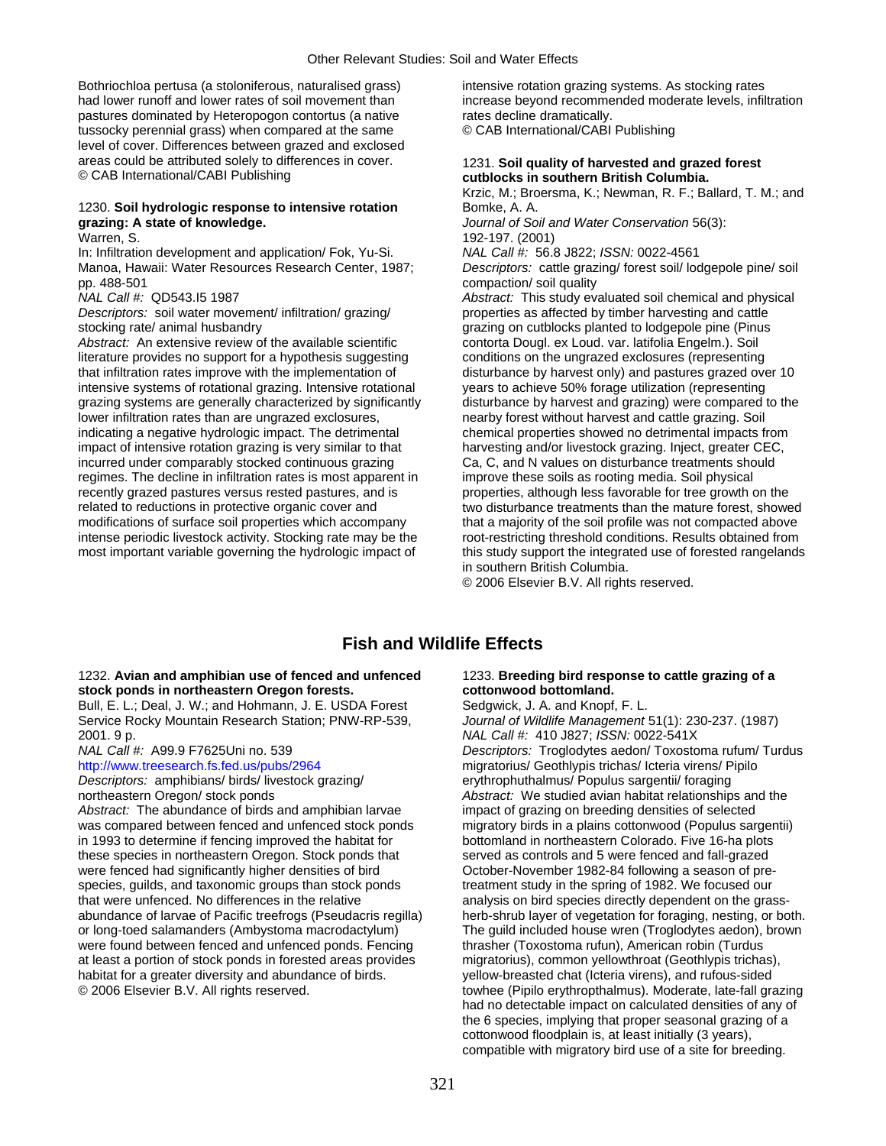Bothriochloa pertusa (a stoloniferous, naturalised grass) intensive rotation grazing systems. As stocking rates pastures dominated by Heteropogon contortus (a native rates decline dramatically. tussocky perennial grass) when compared at the same © CAB International/CABI Publishing level of cover. Differences between grazed and exclosed areas could be attributed solely to differences in cover.<br>
© CAB International/CABI Publishing **cuthing cuthiocks in southern British Columbia**.

## 1230. Soil hydrologic response to intensive rotation Bomke, A. A. **grazing: A state of knowledge.** *Journal of Soil and Water Conservation* 56(3):

In: Infiltration development and application/ Fok, Yu-Si. *NAL Call #:* 56.8 J822; *ISSN:* 0022-4561

stocking rate/ animal husbandry extending the state of grazing on cutblocks planted to lodgepole pine (Pinus

Abstract: An extensive review of the available scientific contorta Dougl. ex Loud. var. latifolia Engelm.). Soil literature provides no support for a hypothesis suggesting conditions on the ungrazed exclosures (representing that infiltration rates improve with the implementation of disturbance by harvest only) and pastures grazed over 10 intensive systems of rotational grazing. Intensive rotational years to achieve 50% forage utilization (representing<br>grazing systems are generally characterized by significantly disturbance by harvest and grazing) were comp grazing systems are generally characterized by significantly lower infiltration rates than are ungrazed exclosures, nearby forest without harvest and cattle grazing. Soil indicating a negative hydrologic impact. The detrimental chemical properties showed no detrimental impacts from<br>
impact of intensive rotation grazing is very similar to that harvesting and/or livestock grazing. Inject, gre incurred under comparably stocked continuous grazing Ca, C, and N values on disturbance treatments should regimes. The decline in infiltration rates is most apparent in improve these soils as rooting media. Soil physical recently grazed pastures versus rested pastures, and is properties, although less favorable for tree growth on the related to reductions in protective organic cover and two disturbance treatments than the mature forest, showed modifications of surface soil properties which accompany that a majority of the soil profile was not compacted above intense periodic livestock activity. Stocking rate may be the root-restricting threshold conditions. Results obtained from most important variable governing the hydrologic impact of this study support the integrated use of forested rangelands

had lower runoff and lower rates of soil movement than increase beyond recommended moderate levels, infiltration

## © CAB International/CABI Publishing **cutblocks in southern British Columbia.**

Krzic, M.; Broersma, K.; Newman, R. F.; Ballard, T. M.; and Warren, S. 192-197. (2001) Manoa, Hawaii: Water Resources Research Center, 1987; *Descriptors:* cattle grazing/ forest soil/ lodgepole pine/ soil compaction/ soil quality *NAL Call #:* QD543.I5 1987 *Abstract:* This study evaluated soil chemical and physical *Descriptors:* soil water movement/ infiltration/ grazing/ properties as affected by timber harvesting and cattle harvesting and/or livestock grazing. Inject, greater CEC, in southern British Columbia.

© 2006 Elsevier B.V. All rights reserved.

## **Fish and Wildlife Effects**

### 1232. **Avian and amphibian use of fenced and unfenced** 1233. **Breeding bird response to cattle grazing of a stock ponds in northeastern Oregon forests. cottonwood bottomland.**

Bull, E. L.; Deal, J. W.; and Hohmann, J. E. USDA Forest Sedgwick, J. A. and Knopf, F. L. Service Rocky Mountain Research Station; PNW-RP-539, *Journal of Wildlife Management* 51(1): 230-237. (1987) 2001. 9 p. *NAL Call #:* 410 J827; *ISSN:* 0022-541X

*Descriptors:* amphibians/ birds/ livestock grazing/ erythrophuthalmus/ Populus sargentii/ foraging

Abstract: The abundance of birds and amphibian larvae impact of grazing on breeding densities of selected was compared between fenced and unfenced stock ponds migratory birds in a plains cottonwood (Populus sargentii) in 1993 to determine if fencing improved the habitat for bottomland in northeastern Colorado. Five 16-ha plots these species in northeastern Oregon. Stock ponds that served as controls and 5 were fenced and fall-grazed were fenced had significantly higher densities of bird October-November 1982-84 following a season of prespecies, guilds, and taxonomic groups than stock ponds treatment study in the spring of 1982. We focused our that were unfenced. No differences in the relative analysis on bird species directly dependent on the grassor long-toed salamanders (Ambystoma macrodactylum) The guild included house wren (Troglodytes aedon), brown were found between fenced and unfenced ponds. Fencing thrasher (Toxostoma rufun), American robin (Turdus at least a portion of stock ponds in forested areas provides migratorius), common yellowthroat (Geothlypis trichas), habitat for a greater diversity and abundance of birds. yellow-breasted chat (Icteria virens), and rufous-sided © 2006 Elsevier B.V. All rights reserved. towhee (Pipilo erythropthalmus). Moderate, late-fall grazing

*NAL Call #:* A99.9 F7625Uni no. 539 *Descriptors:* Troglodytes aedon/ Toxostoma rufum/ Turdus <http://www.treesearch.fs.fed.us/pubs/2964>migratorius/ Geothlypis trichas/ Icteria virens/ Pipilo northeastern Oregon/ stock ponds *Abstract:* We studied avian habitat relationships and the abundance of larvae of Pacific treefrogs (Pseudacris regilla) herb-shrub layer of vegetation for foraging, nesting, or both. had no detectable impact on calculated densities of any of the 6 species, implying that proper seasonal grazing of a cottonwood floodplain is, at least initially (3 years), compatible with migratory bird use of a site for breeding.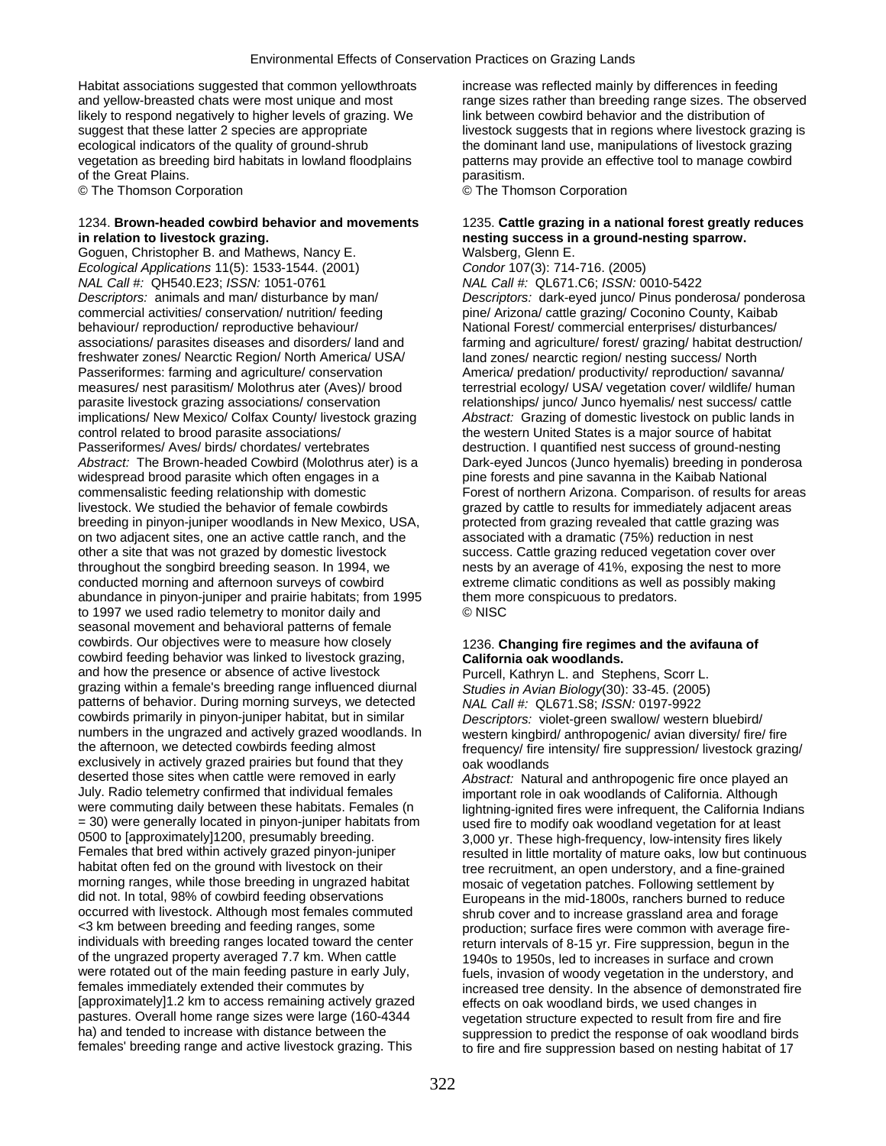Habitat associations suggested that common yellowthroats increase was reflected mainly by differences in feeding likely to respond negatively to higher levels of grazing. We link between cowbird behavior and the distribution of suggest that these latter 2 species are appropriate livestock suggests that in regions where livestock gra ecological indicators of the quality of ground-shrub the dominant land use, manipulations of livestock grazing vegetation as breeding bird habitats in lowland floodplains patterns may provide an effective tool to manage cowbird of the Great Plains. **parasitism.** 

© The Thomson Corporation © The Thomson Corporation

## in relation to livestock grazing. **needs a success in a ground-nesting sparrow. nesting sparrow.**

Goguen, Christopher B. and Mathews, Nancy E. Walsberg, Glenn E. *Ecological Applications* 11(5): 1533-1544. (2001) *Condor* 107(3): 714-716. (2005) *NAL Call #:* QH540.E23; *ISSN:* 1051-0761 *NAL Call #:* QL671.C6; *ISSN:* 0010-5422 *Descriptors:* animals and man/ disturbance by man/ *Descriptors:* dark-eyed junco/ Pinus ponderosa/ ponderosa commercial activities/ conservation/ nutrition/ feeding pine/ Arizona/ cattle grazing/ Coconino County, Kaibab behaviour/ reproduction/ reproductive behaviour/ National Forest/ commercial enterprises/ disturbances/ associations/ parasites diseases and disorders/ land and farming and agriculture/ forest/ grazing/ habitat destruction/ freshwater zones/ Nearctic Region/ North America/ USA/ land zones/ nearctic region/ nesting success/ North Passeriformes: farming and agriculture/ conservation America/ predation/ productivity/ reproduction/ savanna/ measures/ nest parasitism/ Molothrus ater (Aves)/ brood terrestrial ecology/ USA/ vegetation cover/ wildlife/ human parasite livestock grazing associations/ conservation relationships/ junco/ Junco hyemalis/ nest success/ cattle implications/ New Mexico/ Colfax County/ livestock grazing *Abstract:* Grazing of domestic livestock on public lands in control related to brood parasite associations/ the western United States is a major source of habitat Passeriformes/ Aves/ birds/ chordates/ vertebrates destruction. I quantified nest success of ground-nesting *Abstract:* The Brown-headed Cowbird (Molothrus ater) is a Dark-eyed Juncos (Junco hyemalis) breeding in ponderosa widespread brood parasite which often engages in a pine forests and pine savanna in the Kaibab National commensalistic feeding relationship with domestic Forest of northern Arizona. Comparison. of results for areas livestock. We studied the behavior of female cowbirds grazed by cattle to results for immediately adjacent areas breeding in pinyon-juniper woodlands in New Mexico, USA, protected from grazing revealed that cattle grazing was on two adjacent sites, one an active cattle ranch, and the associated with a dramatic (75%) reduction in nest other a site that was not grazed by domestic livestock success. Cattle grazing reduced vegetation cover over throughout the songbird breeding season. In 1994, we nests by an average of 41%, exposing the nest to more conducted morning and afternoon surveys of cowbird extreme climatic conditions as well as possibly making abundance in pinyon-juniper and prairie habitats; from 1995 them more conspicuous to predators. to 1997 we used radio telemetry to monitor daily and © NISC seasonal movement and behavioral patterns of female cowbirds. Our objectives were to measure how closely 1236. **Changing fire regimes and the avifauna of**  cowbird feeding behavior was linked to livestock grazing, **California oak woodlands.**  and how the presence or absence of active livestock Purcell, Kathryn L. and Stephens, Scorr L. grazing within a female's breeding range influenced diurnal *Studies in Avian Biology*(30): 33-45. (2005) patterns of behavior. During morning surveys, we detected *NAL Call #:* QL671.S8; *ISSN:* 0197-9922 cowbirds primarily in pinyon-juniper habitat, but in similar *Descriptors:* violet-green swallow/ western bluebird/ numbers in the ungrazed and actively grazed woodlands. In western kingbird/ anthropogenic/ avian diversity/ fire/ fire<br>the afternoon, we detected cowbirds feeding almost frequency/ fire intensity/ fire suppression/ livesto exclusively in actively grazed prairies but found that they oak woodlands<br>deserted those sites when cattle were removed in early *Abstract:* Nature deserted those sites when cattle were removed in early *Abstract:* Natural and anthropogenic fire once played an<br>July, Radio telemetry confirmed that individual females important role in oak woodlands of California. Althou July. Radio telemetry confirmed that individual females important role in oak woodlands of California. Although<br>Were commuting daily between these habitats. Females (n inclusion-innited fires were infrequent the California were commuting daily between these habitats. Females (n lightning-ignited fires were infrequent, the California Indians = 30) were generally located in pinyon-juniper habitats from used fire to modify oak woodland vegetat = 30) were generally located in pinyon-juniper habitats from used fire to modify oak woodland vegetation for at least 0500 to [approximately]1200, presumably breeding. 3,000 yr. These high-frequency, low-intensity fires likely<br>Females that bred within actively grazed pinyon-juniper<br>resulted in little mortality of mature oaks, low but cont Females that bred within actively grazed pinyon-juniper resulted in little mortality of mature oaks, low but continuous<br>habitat often fed on the ground with livestock on their result the recruitment, an open understory, an habitat often fed on the ground with livestock on their example tree recruitment, an open understory, and a fine-grained<br>morning ranges, while those breeding in ungrazed habitat mosaic of vegetation patches. Following sett morning ranges, while those breeding in ungrazed habitat mosaic of vegetation patches. Following settlement by<br>did not. In total, 98% of cowbird feeding observations Furopeans in the mid-1800s ranchers burned to reduc did not. In total, 98% of cowbird feeding observations Europeans in the mid-1800s, ranchers burned to reduce<br>Cocurred with livestock. Although most females commuted shrub cover and to increase grassland area and forage occurred with livestock. Although most females commuted shrub cover and to increase grassland area and forage<br>
<3 km between breeding and feeding ranges, some struction: surface fires were common with average fire individuals with breeding ranges located toward the center return intervals of 8-15 yr. Fire suppression, begun in the of the ungrazed property averaged 7.7 km. When cattle 1940s to 1950s, led to increases in surface and crown were rotated out of the main feeding pasture in early July, fuels, invasion of woody vegetation in the understory, and<br>
females immediately extended their commutes by increased tree density. In the absence of demonstrated [approximately]1.2 km to access remaining actively grazed effects on oak woodland birds, we used changes in pastures. Overall home range sizes were large (160-4344 vegetation structure expected to result from fire and fire<br>ha) and tended to increase with distance between the suppression to predict the response of oak woodland bi ha) and tended to increase with distance between the suppression to predict the response of oak woodland birds<br>This suppression has all on persional and active livestock grazing. This the fire and fire suppression based on

and yellow-breasted chats were most unique and most range sizes rather than breeding range sizes. The observed livestock suggests that in regions where livestock grazing is

# 1234. **Brown-headed cowbird behavior and movements** 1235. **Cattle grazing in a national forest greatly reduces**

frequency/ fire intensity/ fire suppression/ livestock grazing/

production: surface fires were common with average fireincreased tree density. In the absence of demonstrated fire to fire and fire suppression based on nesting habitat of 17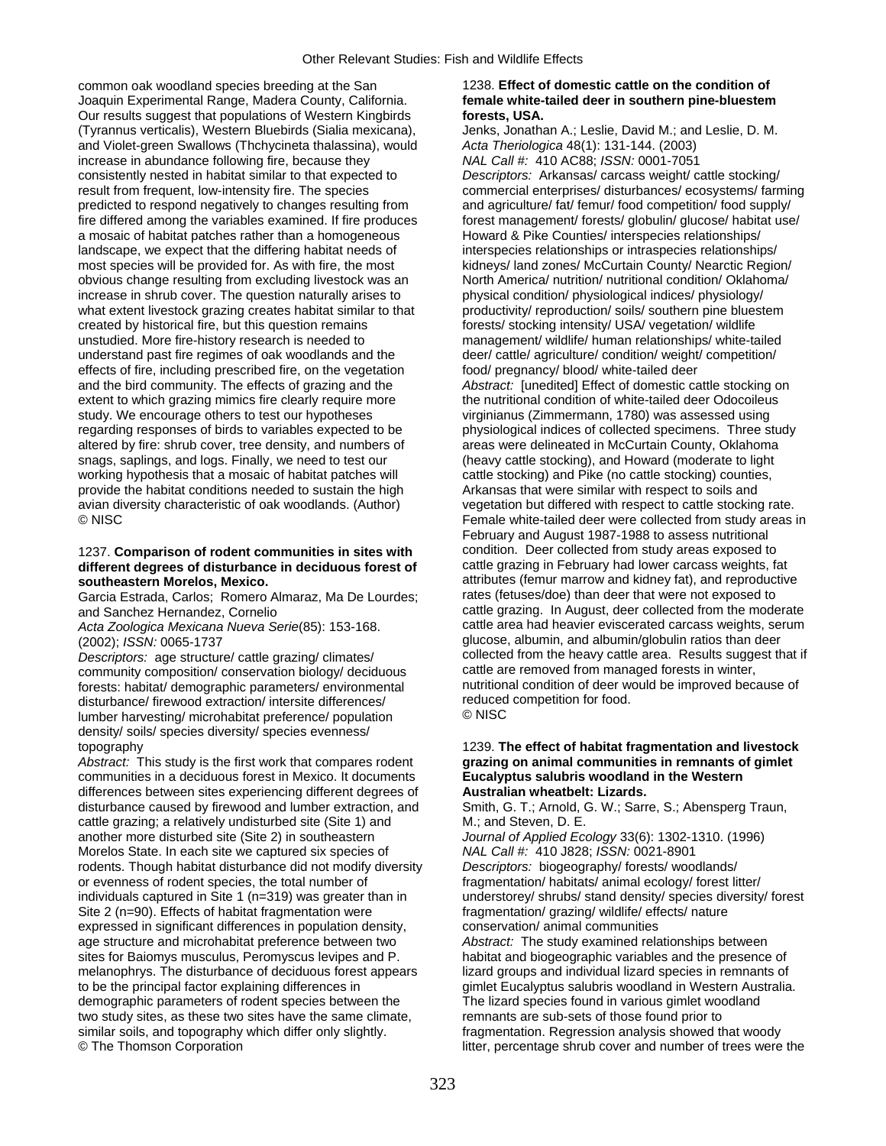common oak woodland species breeding at the San 1238. **Effect of domestic cattle on the condition of**  Joaquin Experimental Range, Madera County, California. **female white-tailed deer in southern pine-bluestem**  Our results suggest that populations of Western Kingbirds **forests, USA.**  (Tyrannus verticalis), Western Bluebirds (Sialia mexicana), Jenks, Jonathan A.; Leslie, David M.; and Leslie, D. M. and Violet-green Swallows (Thchycineta thalassina), would *Acta Theriologica* 48(1): 131-144. (2003) increase in abundance following fire, because they *NAL Call #:* 410 AC88; *ISSN:* 0001-7051 consistently nested in habitat similar to that expected to *Descriptors:* Arkansas/ carcass weight/ cattle stocking/ predicted to respond negatively to changes resulting from and agriculture/ fat/ femur/ food competition/ food supply/ fire differed among the variables examined. If fire produces forest management/ forests/ globulin/ glucose/ habitat use/ a mosaic of habitat patches rather than a homogeneous Howard & Pike Counties/ interspecies relationships/ landscape, we expect that the differing habitat needs of interspecies relationships or intraspecies relationships/ most species will be provided for. As with fire, the most kidneys/ land zones/ McCurtain County/ Nearctic Region/ obvious change resulting from excluding livestock was an North America/ nutrition/ nutritional condition/ Oklahoma/ increase in shrub cover. The question naturally arises to physical condition/ physiological indices/ physiology/ what extent livestock grazing creates habitat similar to that productivity/ reproduction/ soils/ southern pine bluestem created by historical fire, but this question remains forests/ stocking intensity/ USA/ vegetation/ wildlife<br>
unstudied. More fire-history research is needed to management/ wildlife/ human relationships/ white-ta understand past fire regimes of oak woodlands and the deer/ cattle/ agriculture/ condition/ weight/ competition/ effects of fire, including prescribed fire, on the vegetation food/ pregnancy/ blood/ white-tailed deer and the bird community. The effects of grazing and the *Abstract:* [unedited] Effect of domestic cattle stocking on extent to which grazing mimics fire clearly require more the nutritional condition of white-tailed deer Odocoileus study. We encourage others to test our hypotheses virginianus (Zimmermann, 1780) was assessed using regarding responses of birds to variables expected to be physiological indices of collected specimens. Three study altered by fire: shrub cover, tree density, and numbers of areas were delineated in McCurtain County, Oklahoma snags, saplings, and logs. Finally, we need to test our (heavy cattle stocking), and Howard (moderate to light working hypothesis that a mosaic of habitat patches will cattle stocking) and Pike (no cattle stocking) counties, provide the habitat conditions needed to sustain the high Arkansas that were similar with respect to soils and avian diversity characteristic of oak woodlands. (Author) vegetation but differed with respect to cattle stocking rate.

# different degrees of disturbance in deciduous forest of

Garcia Estrada, Carlos; Romero Almaraz, Ma De Lourdes;

community composition/ conservation biology/ deciduous disturbance/ firewood extraction/ intersite differences/ reduced<br>
lumber harvesting/ microbabitat preference/ population CONISC lumber harvesting/ microhabitat preference/ population density/ soils/ species diversity/ species evenness/

*Abstract:* This study is the first work that compares rodent **grazing on animal communities in remnants of gimlet**  communities in a deciduous forest in Mexico. It documents **Eucalyptus salubris woodland in the Western**  differences between sites experiencing different degrees of **Australian wheatbelt: Lizards.**  disturbance caused by firewood and lumber extraction, and Smith, G. T.; Arnold, G. W.; Sarre, S.; Abensperg Traun, cattle grazing; a relatively undisturbed site (Site 1) and M.; and Steven, D. E. another more disturbed site (Site 2) in southeastern *Journal of Applied Ecology* 33(6): 1302-1310. (1996) Morelos State. In each site we captured six species of *NAL Call #:* 410 J828; *ISSN:* 0021-8901 rodents. Though habitat disturbance did not modify diversity *Descriptors:* biogeography/ forests/ woodlands/ or evenness of rodent species, the total number of fragmentation/ habitats/ animal ecology/ forest litter/ individuals captured in Site 1 (n=319) was greater than in understorey/ shrubs/ stand density/ species diversity/ forest Site 2 (n=90). Effects of habitat fragmentation were fragmentation/ grazing/ wildlife/ effects/ nature expressed in significant differences in population density, conservation/ animal communities age structure and microhabitat preference between two *Abstract:* The study examined relationships between sites for Baiomys musculus, Peromyscus levipes and P. **Abstract:** The study examined relationships between melanophrys. The disturbance of deciduous forest appears lizard groups and individual lizard species in remnants of to be the principal factor explaining differences in gimlet Eucalyptus salubris woodland in Western Australia.<br>
demographic parameters of rodent species between the The lizard species found in various gimlet woodland demographic parameters of rodent species between the two study sites, as these two sites have the same climate, remnants are sub-sets of those found prior to similar soils, and topography which differ only slightly. Fragmentation. Regression analysis showed that woody © The Thomson Corporation litter, percentage shrub cover and number of trees were the

result from frequent, low-intensity fire. The species commercial enterprises/ disturbances/ ecosystems/ farming management/ wildlife/ human relationships/ white-tailed © NISC Female white-tailed deer were collected from study areas in February and August 1987-1988 to assess nutritional 1237. **Comparison of rodent communities in sites with** condition. Deer collected from study areas exposed to disturbance in deciduous forest of cattle grazing in February had lower carcass weights, fat **southeastern Morelos, Mexico. attributes (femur marrow and kidney fat), and reproductive**<br>Garcia Estrada, Carlos: Romero Almaraz, Ma De Lourdes: rates (fetuses/doe) than deer that were not exposed to and Sanchez Hernandez, Cornelio cattle grazing. In August, deer collected from the moderate *Acta Zoologica Mexicana Nueva Serie*(85): 153-168. cattle area had heavier eviscerated carcass weights, serum (2002); *ISSN:* 0065-1737 glucose, albumin, and albumin/globulin ratios than deer Descriptors: age structure/ cattle grazing/ climates/ collected from the heavy cattle area. Results suggest that if<br>community composition/ conservation biology/ deciduous cattle are removed from managed forests in winter, forests: habitat/ demographic parameters/ environmental nutritional condition of deer would be improved because of disturbance/ firewood extraction/ intersite differences/ reduced competition for food.

# topography 1239. **The effect of habitat fragmentation and livestock**

habitat and biogeographic variables and the presence of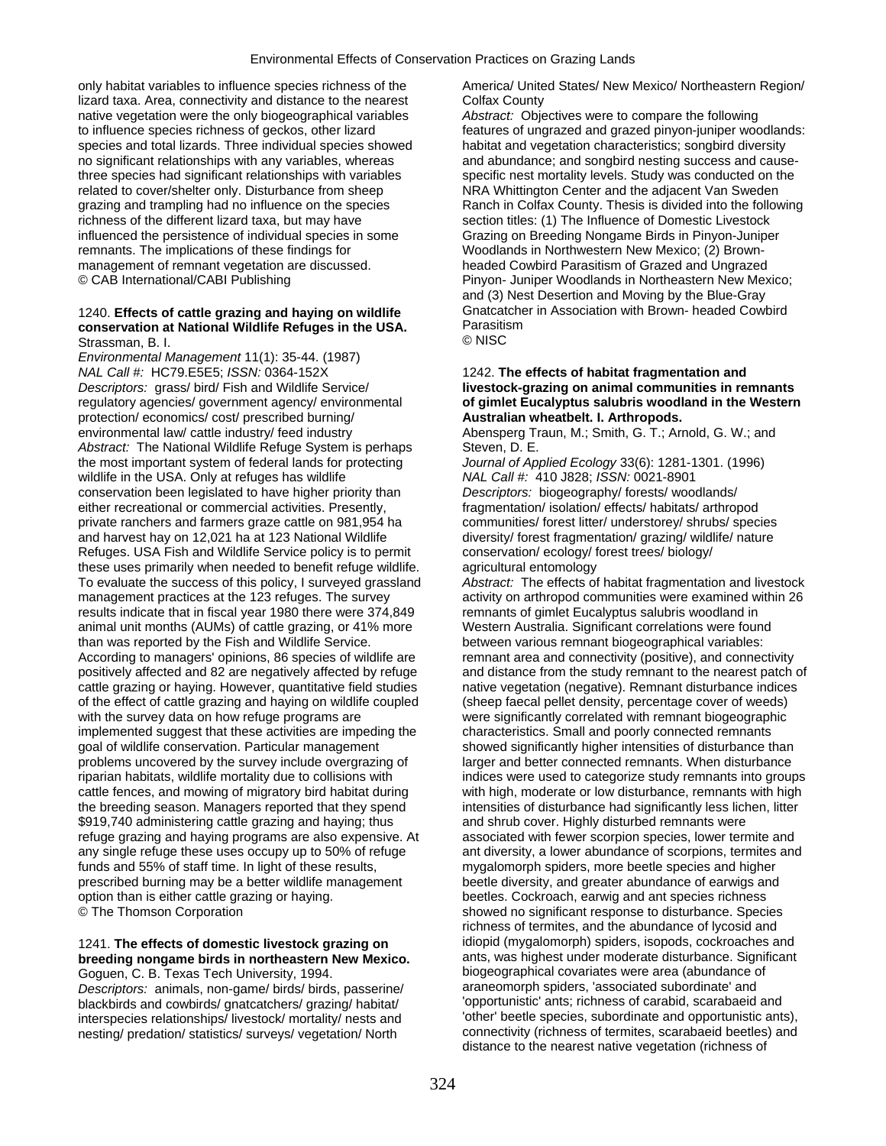lizard taxa. Area, connectivity and distance to the nearest Colfax County native vegetation were the only biogeographical variables *Abstract:* Objectives were to compare the following to influence species richness of geckos, other lizard features of ungrazed and grazed pinyon-juniper woo species and total lizards. Three individual species showed habitat and vegetation characteristics; songbird diversity no significant relationships with any variables, whereas and abundance; and songbird nesting success and causethree species had significant relationships with variables specific nest mortality levels. Study was conducted on the related to cover/shelter only. Disturbance from sheep NRA Whittington Center and the adjacent Van Sweden richness of the different lizard taxa, but may have section titles: (1) The Influence of Domestic Livestock influenced the persistence of individual species in some Grazing on Breeding Nongame Birds in Pinyon-Juniper remnants. The implications of these findings for Woodlands in Northwestern New Mexico; (2) Brownmanagement of remnant vegetation are discussed.<br>
© CAB International/CABI Publishing buttorial and Cowbird Pinyon-Juniper Woodlands in Northeastern New Mex

### 1240. **Effects of cattle grazing and haying on wildlife Schatcatcher in Association and Association Constanti**<br>**Conservation at National Wildlife Refuges in the USA** Parasitism **conservation at National Wildlife Refuges in the USA.** Parasitism Parasitism Parasitism Conservation at the USA Conservation Parasitism Conservation Parasitism Parasitism Conservation Parasitism Conservation Parasitism Co Strassman, B. I.

*Environmental Management* 11(1): 35-44. (1987) *NAL Call #:* HC79.E5E5; *ISSN:* 0364-152X 1242. **The effects of habitat fragmentation and**  *Descriptors:* grass/ bird/ Fish and Wildlife Service/ **livestock-grazing on animal communities in remnants**  regulatory agencies/ government agency/ environmental **of gimlet Eucalyptus salubris woodland in the Western**  protection/ economics/ cost/ prescribed burning/ **Australian wheatbelt. I. Arthropods.**  environmental law/ cattle industry/ feed industry Abensperg Traun, M.; Smith, G. T.; Arnold, G. W.; and Abstract: The National Wildlife Refuge System is perhaps Steven, D. E. the most important system of federal lands for protecting *Journal of Applied Ecology* 33(6): 1281-1301. (1996) wildlife in the USA. Only at refuges has wildlife *NAL Call #:* 410 J828; *ISSN:* 0021-8901 conservation been legislated to have higher priority than *Descriptors:* biogeography/ forests/ woodlands/ either recreational or commercial activities. Presently, fragmentation/ isolation/ effects/ habitats/ arthropod private ranchers and farmers graze cattle on 981,954 ha communities/ forest litter/ understorey/ shrubs/ species and harvest hay on 12,021 ha at 123 National Wildlife diversity/ forest fragmentation/ grazing/ wildlife/ nature Refuges. USA Fish and Wildlife Service policy is to permit conservation/ ecology/ forest trees/ biology/ these uses primarily when needed to benefit refuge wildlife. agricultural entomology To evaluate the success of this policy, I surveyed grassland *Abstract:* The effects of habitat fragmentation and livestock management practices at the 123 refuges. The survey activity on arthropod communities were examined within 26 results indicate that in fiscal year 1980 there were 374,849 remnants of gimlet Eucalyptus salubris woodland in animal unit months (AUMs) of cattle grazing, or 41% more Western Australia. Significant correlations were found than was reported by the Fish and Wildlife Service. between various remnant biogeographical variables: According to managers' opinions, 86 species of wildlife are remnant area and connectivity (positive), and connectivity cattle grazing or haying. However, quantitative field studies native vegetation (negative). Remnant disturbance indices of the effect of cattle grazing and haying on wildlife coupled (sheep faecal pellet density, percentage cover of weeds) implemented suggest that these activities are impeding the characteristics. Small and poorly connected remnants goal of wildlife conservation. Particular management showed significantly higher intensities of disturbance than problems uncovered by the survey include overgrazing of larger and better connected remnants. When disturbance riparian habitats, wildlife mortality due to collisions with indices were used to categorize study remnants into groups cattle fences, and mowing of migratory bird habitat during with high, moderate or low disturbance, remnants with high the breeding season. Managers reported that they spend intensities of disturbance had significantly less lichen, litter \$919,740 administering cattle grazing and haying; thus and shrub cover. Highly disturbed remnants were refuge grazing and haying programs are also expensive. At associated with fewer scorpion species, lower termite and any single refuge these uses occupy up to 50% of refuge ant diversity, a lower abundance of scorpions, termites and funds and 55% of staff time. In light of these results, mygalomorph spiders, more beetle species and higher prescribed burning may be a better wildlife management beetle diversity, and greater abundance of earwigs and option than is either cattle grazing or haying. beetles. Cockroach, earwig and ant species richness © The Thomson Corporation showed no significant response to disturbance. Species

*Descriptors:* animals, non-game/ birds/ birds, passerine/ araneomorph spiders, 'associated subordinate' and nesting/ predation/ statistics/ surveys/ vegetation/ North

only habitat variables to influence species richness of the America/ United States/ New Mexico/ Northeastern Region/

features of ungrazed and grazed pinyon-juniper woodlands: grazing and trampling had no influence on the species Ranch in Colfax County. Thesis is divided into the following Pinyon- Juniper Woodlands in Northeastern New Mexico; and (3) Nest Desertion and Moving by the Blue-Gray

positively affected and 82 are negatively affected by refuge and distance from the study remnant to the nearest patch of were significantly correlated with remnant biogeographic richness of termites, and the abundance of lycosid and 1241. **The effects of domestic livestock grazing on** idiopid (mygalomorph) spiders, isopods, cockroaches and **breeding nongame birds in northeastern New Mexico.** ants, was highest under moderate disturbance. Significant Goguen, C. B. Texas Tech University, 1994. biogeographical covariates were area (abundance of Descriptors: animals non-game/ birds/ birds passerine/ araneomorph spiders, 'associated subordinate' and blackbirds and cowbirds/ gnatcatchers/ grazing/ habitat/ <sup>'opportunistic'</sup> ants; richness of carabid, scarabaeid and<br>interspecies relationships/ livestock/ mortality/ nests and 'other' beetle species, subordinate and oppor interspecies relationships/ livestock/ mortality/ nests and 'other' beetle species, subordinate and opportunistic ants), distance to the nearest native vegetation (richness of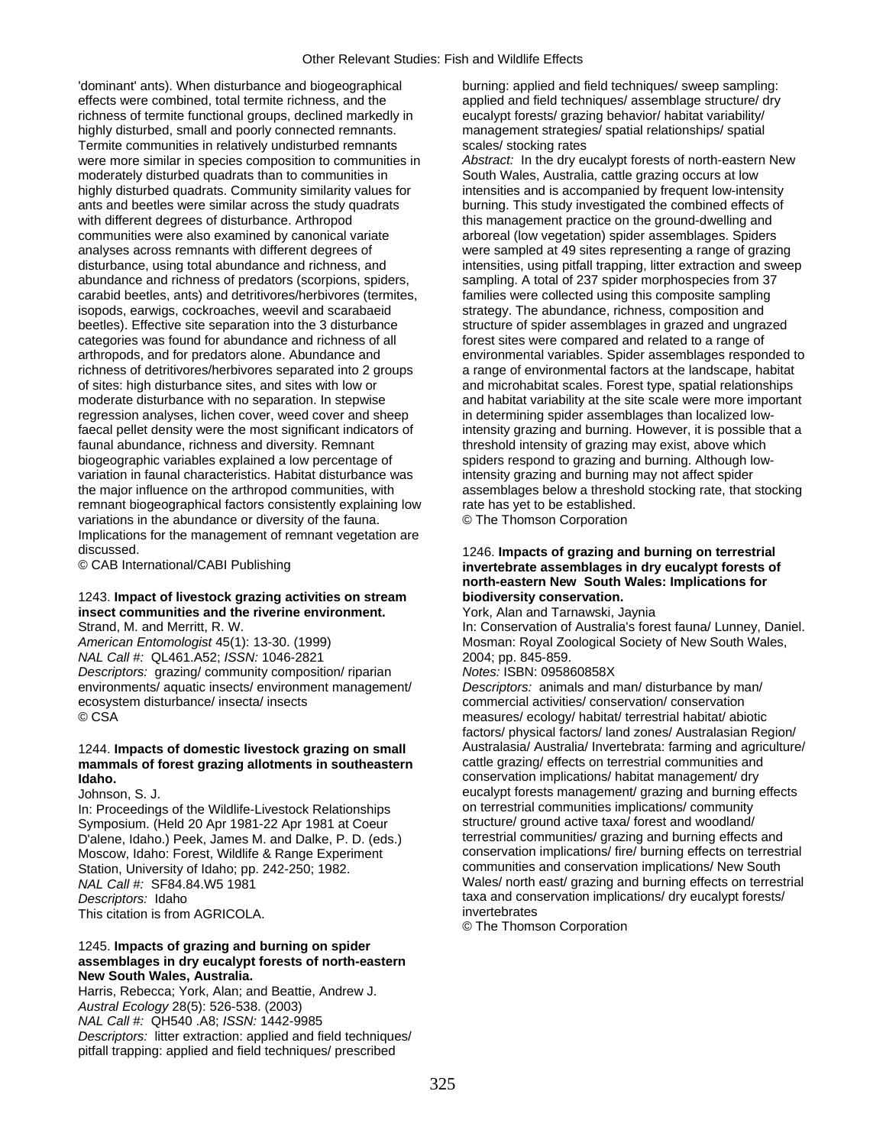'dominant' ants). When disturbance and biogeographical burning: applied and field techniques/ sweep sampling: effects were combined, total termite richness, and the applied and field techniques/ assemblage structure/ dry richness of termite functional groups, declined markedly in eucalypt forests/ grazing behavior/ habitat variability/ highly disturbed, small and poorly connected remnants. management strategies/ spatial relationships/ spatial Termite communities in relatively undisturbed remnants scales/ stocking rates were more similar in species composition to communities in *Abstract:* In the dry eucalypt forests of north-eastern New moderately disturbed quadrats than to communities in South Wales, Australia, cattle grazing occurs at low highly disturbed quadrats. Community similarity values for intensities and is accompanied by frequent low-intensity ants and beetles were similar across the study quadrats burning. This study investigated the combined effects of with different degrees of disturbance. Arthropod this management practice on the ground-dwelling and communities were also examined by canonical variate arboreal (low vegetation) spider assemblages. Spiders analyses across remnants with different degrees of were sampled at 49 sites representing a range of grazing disturbance, using total abundance and richness, and intensities, using pitfall trapping, litter extraction and sweep abundance and richness of predators (scorpions, spiders, sampling. A total of 237 spider morphospecies from 37 carabid beetles, ants) and detritivores/herbivores (termites, families were collected using this composite sampling isopods, earwigs, cockroaches, weevil and scarabaeid strategy. The abundance, richness, composition and beetles). Effective site separation into the 3 disturbance structure of spider assemblages in grazed and ungrazed beetles). Effective site separation into the 3 disturbance categories was found for abundance and richness of all forest sites were compared and related to a range of arthropods, and for predators alone. Abundance and environmental variables. Spider assemblages responded to richness of detritivores/herbivores separated into 2 groups a range of environmental factors at the landscape, habitat of sites: high disturbance sites, and sites with low or and microhabitat scales. Forest type, spatial relationships moderate disturbance with no separation. In stepwise and habitat variability at the site scale were more important regression analyses, lichen cover, weed cover and sheep in determining spider assemblages than localized lowfaecal pellet density were the most significant indicators of intensity grazing and burning. However, it is possible that a faunal abundance, richness and diversity. Remnant threshold intensity of grazing may exist, above which biogeographic variables explained a low percentage of spiders respond to grazing and burning. Although lowvariation in faunal characteristics. Habitat disturbance was intensity grazing and burning may not affect spider the major influence on the arthropod communities, with assemblages below a threshold stocking rate, that stocking remnant biogeographical factors consistently explaining low rate has yet to be established. variations in the abundance or diversity of the fauna. © The Thomson Corporation Implications for the management of remnant vegetation are

## 1243. **Impact of livestock grazing activities on stream biodiversity conservation. insect communities and the riverine environment.** York, Alan and Tarnawski, Jaynia

*NAL Call #:* QL461.A52; *ISSN:* 1046-2821 2004; pp. 845-859. *Descriptors:* grazing/ community composition/ riparian *Notes:* ISBN: 095860858X environments/ aquatic insects/ environment management/ *Descriptors:* animals and man/ disturbance by man/ ecosystem disturbance/ insecta/ insects commercial activities/ conservation/ conservation © CSA measures/ ecology/ habitat/ terrestrial habitat/ abiotic

## mammals of forest grazing allotments in southeastern **Idaho.** Conservation implications/ habitat management/ dry

In: Proceedings of the Wildlife-Livestock Relationships on terrestrial communities implications/ community<br>Symposium (Held 20 Apr 1981-22 Apr 1981 at Coeur structure/ ground active taxa/ forest and woodland/ Symposium. (Held 20 Apr 1981-22 Apr 1981 at Coeur structure/ ground active taxa/ forest and woodland/<br>D'alene Jdaho ) Peek James M, and Dalke, P, D, (eds.) structure/ ground active taxa/ forest and burning effects and Moscow, Idaho: Forest, Wildlife & Range Experiment Station, University of Idaho; pp. 242-250; 1982. communities and conservation implications/ New South<br>
Malc Call #: SF84.84.W5 1981 communities and conservation implications/ New South This citation is from AGRICOLA.

### 1245. **Impacts of grazing and burning on spider assemblages in dry eucalypt forests of north-eastern New South Wales, Australia.**

Harris, Rebecca; York, Alan; and Beattie, Andrew J. *Austral Ecology* 28(5): 526-538. (2003) *NAL Call #:* QH540 .A8; *ISSN:* 1442-9985 *Descriptors:* litter extraction: applied and field techniques/ pitfall trapping: applied and field techniques/ prescribed

## discussed. 1246. **Impacts of grazing and burning on terrestrial**  invertebrate assemblages in dry eucalypt forests of **north-eastern New South Wales: Implications for**

Strand, M. and Merritt, R. W. In: Conservation of Australia's forest fauna/ Lunney, Daniel.<br>American Entomologist 45(1): 13-30. (1999) Mosman: Royal Zoological Society of New South Wales, *Mosman: Royal Zoological Society of New South Wales,* 

factors/ physical factors/ land zones/ Australasian Region/ 1244. **Impacts of domestic livestock grazing on small** Australasia/ Australia/ Invertebrata: farming and agriculture/<br> **Inammals of forest grazing allotments in southeastern** cattle grazing/ effects on terrestrial communit Johnson, S. J.<br>In: Proceedings of the Wildlife-Livestock Relationships on terrestrial communities implications/ community D'alene, Idaho.) Peek, James M. and Dalke, P. D. (eds.) terrestrial communities/ grazing and burning effects and<br>Moscow, Idaho: Forest, Wildlife & Range Experiment conservation implications/ fire/ burning effects on terres *NAL Call #:* SF84.84.W5 1981 Wales/ north east/ grazing and burning effects on terrestrial<br>Descriptors: Idaho<br>Descriptors: Idaho taxa and conservation implications/ dry eucalypt forests/<br>invertebrates

© The Thomson Corporation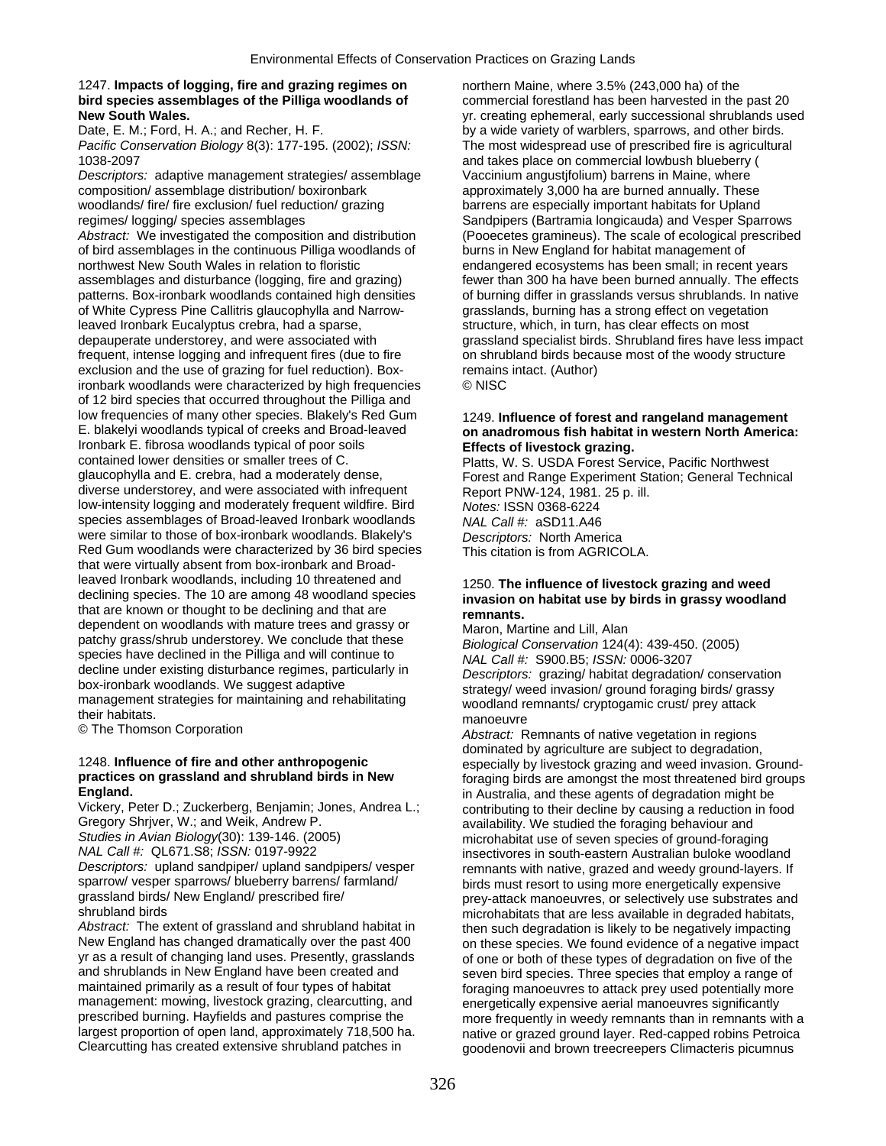## 1247. **Impacts of logging, fire and grazing regimes on** northern Maine, where 3.5% (243,000 ha) of the **bird species assemblages of the Pilliga woodlands of example of commercial forestland has been harvested in the past 20**

*Pacific Conservation Biology* 8(3): 177-195. (2002); *ISSN:* The most widespread use of prescribed fire is agricultural 1038-2097 and takes place on commercial lowbush blueberry (

*Descriptors:* adaptive management strategies/ assemblage Vaccinium angustjfolium) barrens in Maine, where composition/ assemblage distribution/ boxironbark approximately 3,000 ha are burned annually. These woodlands/ fire/ fire exclusion/ fuel reduction/ grazing barrens are especially important habitats for Upland regimes/ logging/ species assemblages Sandpipers (Bartramia longicauda) and Vesper Sparrows

*Abstract:* We investigated the composition and distribution (Pooecetes gramineus). The scale of ecological prescribed of bird assemblages in the continuous Pilliga woodlands of burns in New England for habitat management of northwest New South Wales in relation to floristic entity endangered ecosystems has been small; in recent years assemblages and disturbance (logging, fire and grazing) fewer than 300 ha have been burned annually. The effects patterns. Box-ironbark woodlands contained high densities of burning differ in grasslands versus shrublands. In native of White Cypress Pine Callitris glaucophylla and Narrow- grasslands, burning has a strong effect on vegetation<br>
leaved Ironbark Eucalyptus crebra, had a sparse, structure, which, in turn, has clear effects on most frequent, intense logging and infrequent fires (due to fire on shrubland birds because most of the woody structure exclusion and the use of grazing for fuel reduction). Box- remains intact. (Author) ironbark woodlands were characterized by high frequencies © NISC of 12 bird species that occurred throughout the Pilliga and low frequencies of many other species. Blakely's Red Gum 1249. **Influence of forest and rangeland management**  Ironbark E. fibrosa woodlands typical of poor soils **Effects of livestock grazing.**  contained lower densities or smaller trees of C. <br>glaucophylla and E. crebra, had a moderately dense, Forest and Range Experiment Station: General Techn diverse understorey, and were associated with infrequent Report PNW-124, 1981. 25 p. ill. low-intensity logging and moderately frequent wildfire. Bird *Notes:* ISSN 0368-6224 species assemblages of Broad-leaved Ironbark woodlands *NAL Call #:* aSD11.A46 were similar to those of box-ironbark woodlands. Blakely's *Descriptors:* North America Red Gum woodlands were characterized by 36 bird species This citation is from AGRICOLA. that were virtually absent from box-ironbark and Broadleaved Ironbark woodlands, including 10 threatened and<br>declining species. The 10 are among 48 woodland species<br>that are known or thought to be declining and that are<br>dependent on woodlands with mature trees and grassy or<br>M dependent on woodlands with mature trees and grassy or<br>
patchy grass/shrub understorey. We conclude that these<br>
species have declined in the Pilliga and will continue to<br>
decline under existing disturbance regimes, particu decline under existing disturbance regimes, particularly in *Descriptors:* grazing/ habitat degradation/ conservation

Vickery, Peter D.; Zuckerberg, Benjamin; Jones, Andrea L.; contributing to their decline by causing a reduction in food<br>Gregory Shriver, W.; and Weik, Andrew P. sand the availability We studied the foraging behaviour and Gregory Shrjver, W.; and Weik, Andrew P. availability. We studied the foraging behaviour and *Studies in Avian Biology*(30): 139-146. (2005) microhabitat use of seven species of ground-foraging *NAL Call #:* QL671.S8; *ISSN:* 0197-9922 insectivores in south-eastern Australian buloke woodland<br>Descriptors: upland sandpiper/ upland sandpipers/ vesper remnants with native, grazed and weedy ground-layers, If *Descriptors:* upland sandpiper/ upland sandpipers/ vesper remnants with native, grazed and weedy ground-layers. If<br>sparrow/ vesper sparrows/ blueberry barrens/ farmland/ birds must resort to using more energetically expen sparrow/ vesper sparrows/ blueberry barrens/ farmland/ birds must resort to using more energetically expensive<br>grassland birds/ New England/ prescribed fire/ expensive prev-attack manoeuvres, or selectively use substrates grassland birds/ New England/ prescribed fire/ prey-attack manoeuvres, or selectively use substrates and<br>shrubland birds<br>microbabitats that are less available in degraded babitats

Abstract: The extent of grassland and shrubland habitat in then such degradation is likely to be negatively impacting<br>New England has changed dramatically over the past 400 on these species. We found evidence of a negative yr as a result of changing land uses. Presently, grasslands of one or both of these types of degradation on five of the and shrublands in New England have been created and seven bird species. Three species that employ a range of maintained primarily as a result of four types of habitat for a foraging manoeuvres to attack previlled potential maintained primarily as a result of four types of habitat foraging manoeuvres to attack prey used potentially more<br>Foragement: mowing, livestock grazing, clearcutting, and fore-engetically expensive aerial manoeuvres signi management: mowing, livestock grazing, clearcutting, and energetically expensive aerial manoeuvres significantly<br>prescribed burning. Hayfields and pastures comprise the more frequently in weedy remnants than in remnants wi

**New South Wales.** yr. creating ephemeral, early successional shrublands used Date, E. M.; Ford, H. A.; and Recher, H. F. by a wide variety of warblers, sparrows, and other birds. structure, which, in turn, has clear effects on most depauperate understorey, and were associated with grassland specialist birds. Shrubland fires have less impact

# **on anadromous fish habitat in western North America:**

Forest and Range Experiment Station; General Technical

box-ironbark woodlands. We suggest adaptive<br>
management strategies for maintaining and rehabilitating<br>
their habitats.<br>
The Thomson Corporation<br>
Corporation<br>
Corporation<br>
Corporation<br>
Corporation<br>
Corporation<br>
Corporation<br>

Abstract: Remnants of native vegetation in regions dominated by agriculture are subject to degradation, 1248. **Influence of fire and other anthropogenic** especially by livestock grazing and weed invasion. Ground**practices on grassland and shrubland birds in New foraging birds are amongst the most threatened bird groups**<br>England. **England** and these agents of degradation might be **England.** in Australia, and these agents of degradation might be shrubland birds<br>Abstract: The extent of grassland and shrubland habitat in then such degradation is likely to be negatively impacting on these species. We found evidence of a negative impact prescribed burning. Hayfields and pastures comprise the more frequently in weedy remnants than in remnants with a<br>Iargest proportion of open land, approximately 718,500 ha.<br>pressive or grative or granup layer. Bett-capped largest proportion of open land, approximately 718,500 ha. en anative or grazed ground layer. Red-capped robins Petroica<br>Clearcutting has created extensive shrubland patches in encodenovii and brown treecreeners Climacteri goodenovii and brown treecreepers Climacteris picumnus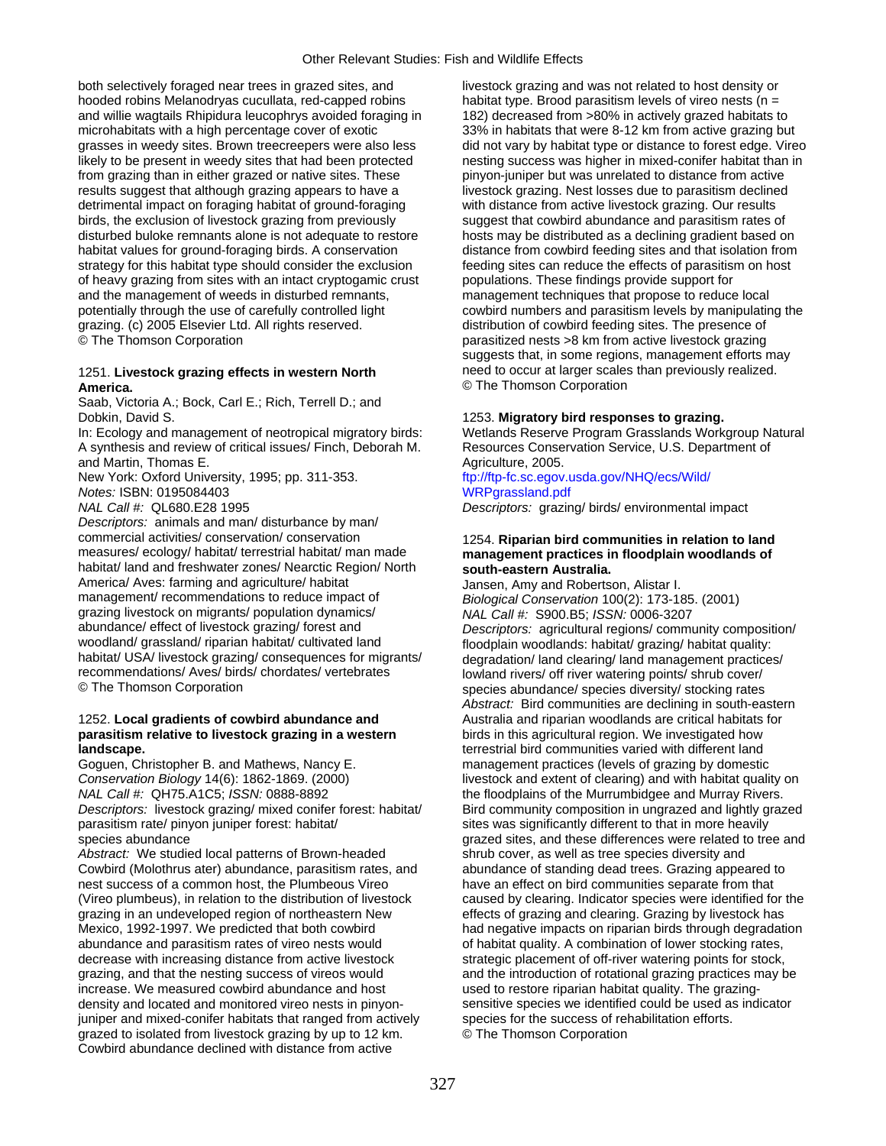both selectively foraged near trees in grazed sites, and livestock grazing and was not related to host density or hooded robins Melanodryas cucullata, red-capped robins habitat type. Brood parasitism levels of vireo nests (n = and willie wagtails Rhipidura leucophrys avoided foraging in 182) decreased from >80% in actively grazed habitats to<br>microhabitats with a high percentage cover of exotic 33% in habitats that were 8-12 km from active grazin microhabitats with a high percentage cover of exotic 33% in habitats that were 8-12 km from active grazing but<br>grasses in weedy sites. Brown treecreepers were also less did not vary by habitat type or distance to forest ed likely to be present in weedy sites that had been protected nesting success was higher in mixed-conifer habitat than in from grazing than in either grazed or native sites. These pinyon-juniper but was unrelated to distance from active results suggest that although grazing appears to have a livestock grazing. Nest losses due to parasitism declined detrimental impact on foraging habitat of ground-foraging with distance from active livestock grazing. Our results birds, the exclusion of livestock grazing from previously suggest that cowbird abundance and parasitism rates of disturbed buloke remnants alone is not adequate to restore hosts may be distributed as a declining gradient based on habitat values for ground-foraging birds. A conservation distance from cowbird feeding sites and that isolation from strategy for this habitat type should consider the exclusion feeding sites can reduce the effects of parasitism on host of heavy grazing from sites with an intact cryptogamic crust populations. These findings provide suppo of heavy grazing from sites with an intact cryptogamic crust and the management of weeds in disturbed remnants, management techniques that propose to reduce local potentially through the use of carefully controlled light cowbird numbers and parasitism levels by manipulating the grazing. (c) 2005 Elsevier Ltd. All rights reserved. distribution of cowbird feeding sites. The presence of parasitized nests >8 km from active livestock grazing

## **America. Constant Corporation Corporation Corporation Corporation Corporation**

Saab, Victoria A.; Bock, Carl E.; Rich, Terrell D.; and Dobkin, David S. 1253. **Migratory bird responses to grazing.** 

In: Ecology and management of neotropical migratory birds: Wetlands Reserve Program Grasslands Workgroup Natural A synthesis and review of critical issues/ Finch, Deborah M. Resources Conservation Service, U.S. Department of and Martin, Thomas E. Agriculture, 2005.

New York: Oxford University, 1995; pp. 311-353. ftp://ftp-fc.sc.egov.usda.gov/NHQ/ecs/Wild/ *Notes:* ISBN: 0195084403 WRPgrassland.pdf

*Descriptors:* animals and man/ disturbance by man/ commercial activities/ conservation/ conservation 1254. **Riparian bird communities in relation to land**<br>measures/ ecology/ habitat/ terrestrial habitat/ man made **management practices in floodplain woodlands of** habitat/ land and freshwater zones/ Nearctic Region/ North **south-eastern Australia.**  America/ Aves: farming and agriculture/ habitat Jansen, Amy and Robertson, Alistar I. management/ recommendations to reduce impact of *Biological Conservation* 100(2): 173-185. (2001) grazing livestock on migrants/ population dynamics/ *NAL Call #:* S900.B5; *ISSN:* 0006-3207<br>abundance/ effect of livestock grazing/ forest and *Descriptors:* agricultural regions/ community abundance/ effect of livestock grazing/ forest and *Descriptors:* agricultural regions/ community composition/ woodland/ grassland/ riparian habitat/ cultivated land floodplain woodlands: habitat/ grazing/ habitat quality:<br>habitat/ USA/ livestock grazing/ consequences for migrants/ degradation/ land clearing/ land management practi habitat/ USA/ livestock grazing/ consequences for migrants/ degradation/ land clearing/ land management practices/<br>
recommendations/ Aves/ birds/ chordates/ vertebrates<br>
lowland rivers/ off river watering points/ shrub cov recommendations/ Aves/ birds/ chordates/ vertebrates lowland rivers/ off river watering points/ shrub cover/<br>© The Thomson Corporation

## **parasitism relative to livestock grazing in a western** birds in this agricultural region. We investigated how **landscape. landscape. terrestrial bird communities varied with different land**

Goguen, Christopher B. and Mathews, Nancy E. The management practices (levels of grazing by domestic *Conservation Biology* 14(6): 1862-1869. (2000) livestock and extent of clearing) and with habitat quality on *NAL Call #:* QH75.A1C5; *ISSN:* 0888-8892 the floodplains of the Murrumbidgee and Murray Rivers. *Descriptors:* livestock grazing/ mixed conifer forest: habitat/ Bird community composition in ungrazed and lightly grazed parasitism rate/ pinyon juniper forest: habitat/ sites was significantly different to that in more heavily

Abstract: We studied local patterns of Brown-headed shrub cover, as well as tree species diversity and Cowbird (Molothrus ater) abundance, parasitism rates, and abundance of standing dead trees. Grazing appeared to nest success of a common host, the Plumbeous Vireo have an effect on bird communities separate from that nest success of a common host, the Plumbeous Vireo have an effect on bird communities separate from that (Vireo plumbeus), in relation to the distribution of livestock caused by clearing. Indicator species were identified grazing in an undeveloped region of northeastern New effects of grazing and clearing. Grazing by livestock has Mexico, 1992-1997. We predicted that both cowbird had negative impacts on riparian birds through degradation abundance and parasitism rates of vireo nests would of habitat quality. A combination of lower stocking rates, decrease with increasing distance from active livestock strategic placement of off-river watering points for stock, grazing, and that the nesting success of vireos would and the introduction of rotational grazing practices may be increase. We measured cowbird abundance and host used to restore riparian habitat quality. The grazingdensity and located and monitored vireo nests in pinyon- sensitive species we identified could be used as indicator juniper and mixed-conifer habitats that ranged from actively species for the success of rehabilitation efforts. grazed to isolated from livestock grazing by up to 12 km. © The Thomson Corporation Cowbird abundance declined with distance from active

did not vary by habitat type or distance to forest edge. Vireo parasitized nests >8 km from active livestock grazing suggests that, in some regions, management efforts may 1251. **Livestock grazing effects in western North** need to occur at larger scales than previously realized.

*NAL Call #:* QL680.E28 1995 *Descriptors:* grazing/ birds/ environmental impact

# management practices in floodplain woodlands of

species abundance/ species diversity/ stocking rates *Abstract:* Bird communities are declining in south-eastern 1252. Local gradients of cowbird abundance and **Australia and riparian woodlands are critical habitats for** species abundance species abundance and these differences were related to tree and caused by clearing. Indicator species were identified for the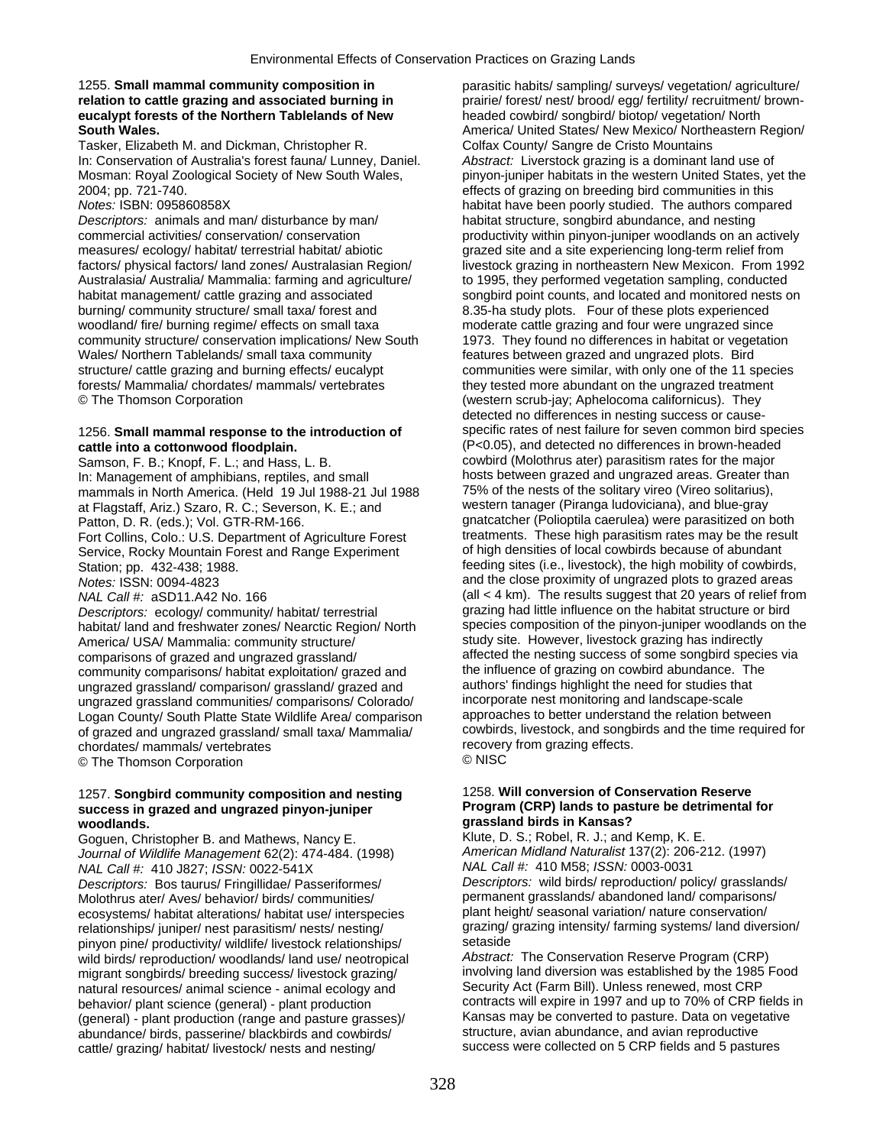## 1255. **Small mammal community composition in** parasitic habits/ sampling/ surveys/ vegetation/ agriculture/ **eucalypt forests of the Northern Tablelands of New** headed cowbird/ songbird/ biotop/ vegetation/ North

Tasker, Elizabeth M. and Dickman, Christopher R. Colfax County/ Sangre de Cristo Mountains In: Conservation of Australia's forest fauna/ Lunney, Daniel. *Abstract:* Liverstock grazing is a dominant land use of 2004; pp. 721-740. effects of grazing on breeding bird communities in this

*Descriptors:* animals and man/ disturbance by man/ habitat structure, songbird abundance, and nesting commercial activities/ conservation/ conservation productivity within pinyon-juniper woodlands on an actively measures/ ecology/ habitat/ terrestrial habitat/ abiotic grazed site and a site experiencing long-term relief from Australasia/ Australia/ Mammalia: farming and agriculture/ to 1995, they performed vegetation sampling, conducted habitat management/ cattle grazing and associated songbird point counts, and located and monitored nests on burning/ community structure/ small taxa/ forest and 8.35-ha study plots. Four of these plots experienced woodland/ fire/ burning regime/ effects on small taxa moderate cattle grazing and four were ungrazed since<br>community structure/ conservation implications/ New South 1973. They found no differences in habitat or vegetation community structure/ conservation implications/ New South Wales/ Northern Tablelands/ small taxa community features between grazed and ungrazed plots. Bird structure/ cattle grazing and burning effects/ eucalypt communities were similar, with only one of the 11 species forests/ Mammalia/ chordates/ mammals/ vertebrates they tested more abundant on the ungrazed treatment<br>
© The Thomson Corporation (western scrub-jay; Aphelocoma californicus). They

## **cattle into a cottonwood floodplain.** (P<0.05), and detected no differences in brown-headed

In: Management of amphibians, reptiles, and small hosts between grazed and ungrazed areas. Greater than<br>mammals in North America. (Held 19 Jul 1988-21 Jul 1988 75% of the nests of the solitary vireo (Vireo solitarius), mammals in North America. (Held 19 Jul 1988-21 Jul 1988 75% of the nests of the solitary vireo (Vireo solitarius)<br>at Flagstaff, Ariz ) Szaro, R. C.: Severson, K. F.: and yestern tanager (Piranga ludoviciana), and blue-gray at Flagstaff, Ariz.) Szaro, R. C.; Severson, K. E.; and Patton, D. R. (eds.); Vol. GTR-RM-166. gnatcatcher (Polioptila caerulea) were parasitized on both<br>Fort Collins, Colo.: U.S. Department of Agriculture Forest treatments. These high parasitism rates may be the result Fort Collins, Colo.: U.S. Department of Agriculture Forest treatments. These high parasitism rates may be the res<br>Service, Rocky Mountain Forest and Range Experiment of high densities of local cowbirds because of abundant Service, Rocky Mountain Forest and Range Experiment Station; pp. 432-438; 1988. The station; pp. 432-438; 1988. The station; pp. 432-438; 1988. Station; pp. 432-4323 station; https://domes.in/and the close proximity of ungrazed plots to grazed areas habitat/ land and freshwater zones/ Nearctic Region/ North America/ USA/ Mammalia: community structure/ study site. However, livestock grazing has indirectly comparisons of grazed and ungrazed grassland/ affected the nesting success of some songbird species via<br>
community comparisons/habitat exploitation/ grazed and the influence of grazing on cowbird abundance. The community comparisons/ habitat exploitation/ grazed and the influence of grazing on cowbird abundance. The ungrazed or studies that the use of grazing on comparison and the ungrazed and the use of grazing or studies that ungrazed grassland/ comparison/ grassland/ grazed and authors' findings highlight the need for studies that<br>ungrazed grassland communities/ comparisons/ Colorado/ a accorporate nest monitoring and landscape-scale ungrazed grassland communities/ comparisons/ Colorado/ incorporate nest monitoring and landscape-scale<br>Logan County/ South Platte State Wildlife Area/ comparison approaches to better understand the relation between

of grazed and ungrazed grassland/ small taxa/ Mammalia/ cowbirds, livestock, and songbirds chordates/ mammals/ vertebrates chordates/ mammals/ vertebrates recovery recovery recovery from grazing effects.<br>
Common grazing effects. The Thomson Corporation

© The Thomson Corporation

## 1257. **Songbird community composition and nesting** 1258. **Will conversion of Conservation Reserve**  success in grazed and ungrazed pinyon-juniper **woodlands. woodlands. grassland birds in Kansas? grassland birds in Kansas? Goduen** Christopher B and Mathews Nancy F **and Klute**, D. S.; Robel, R. J.; and Kemp, K. E.

Goguen, Christopher B. and Mathews, Nancy E. (Klute, D. S.; Robel, R. J.; and Kemp, K. E. (1997)<br>Journal of Wildlife Management 62(2): 474-484 (1998) American Midland Naturalist 137(2): 206-212. (1997) *Journal of Wildlife Management* 62(2): 474-484. (1998) *American Midland Naturalist* 137(2): 206-212. (1997)

*Descriptors:* Bos taurus/ Fringillidae/ Passeriformes/ *Descriptors:* wild birds/ reproduction/ policy/ grasslands/ Molothrus ater/ Aves/ behavior/ birds/ communities/ permanent grasslands/ abandoned land/ comparisons<br>
ecosystems/ habitat alterations/ habitat use/ interspecies plant height/ seasonal variation/ nature conservation/ relationships/ juniper/ nest parasitism/ nests/ nesting/ grazing/<br>ninyon nine/ productivity/ wildlife/ livestock relationships/ setaside pinyon pine/ productivity/ wildlife/ livestock relationships/ setaside<br>wild birds/ reproduction/ woodlands/ land use/ neotropical Abstract: The Conservation Reserve Program (CRP) wild birds/ reproduction/ woodlands/ land use/ neotropical natural resources/ animal science - animal ecology and (general) - plant production (range and pasture grasses)/ Kansas may be converted to pasture. Data on vege<br>
abundance/ birds, passerine/ blackbirds and cowbirds/ structure, avian abundance, and avian reproductive abundance/ birds, passerine/ blackbirds and cowbirds/ structure, avian abundance, and avian reproductive<br>
cattle/ grazing/ habitat/ livestock/ nests and nesting/ success were collected on 5 CRP fields and 5 pastures cattle/ grazing/ habitat/ livestock/ nests and nesting/

**relation to cattle grazing and associated burning in** prairie/ forest/ nest/ brood/ egg/ fertility/ recruitment/ brown-**South Wales.** America/ United States/ New Mexico/ Northeastern Region/ Mosman: Royal Zoological Society of New South Wales, pinyon-juniper habitats in the western United States, yet the *Notes:* ISBN: 095860858X habitat have been poorly studied. The authors compared factors/ physical factors/ land zones/ Australasian Region/ livestock grazing in northeastern New Mexicon. From 1992 (western scrub-jay; Aphelocoma californicus). They detected no differences in nesting success or cause-1256. **Small mammal response to the introduction of** specific rates of nest failure for seven common bird species Samson, F. B.; Knopf, F. L.; and Hass, L. B. cowbird (Molothrus ater) parasitism rates for the major and the close proximity of ungrazed plots to grazed areas *NAL Call #:* aSD11.A42 No. 166 (all < 4 km). The results suggest that 20 years of relief from<br>Descriptors: ecology/community/habitat/terrestrial grazing had little influence on the habitat structure or bird *Descriptors:* ecology/ community/ habitat/ terrestrial grazing had little influence on the habitat structure or bird<br>habitat/ land and freshwater zones/ Nearctic Region/ North species composition of the pinyon-juniper woo Logan County/ South Platte State Wildlife Area/ comparison approaches to better understand the relation between<br>The razed and ungrazed grassland/ small taxa/ Mammalia/ cowbirds, livestock, and songbirds and the time requir

*NAL Call #:* 410 J827; *ISSN:* 0022-541X *NAL Call #:* 410 M58; *ISSN:* 0003-0031 ecosystems/ habitat alterations/ habitat use/ interspecies plant height/ seasonal variation/ nature conservation/<br>
relationships/ juniper/ nest parasitism/ nests/ nesting/ seasonal grazing/ grazing intensity/ farming syste

migrant songbirds/ breeding success/ livestock grazing/ involving land diversion was established by the 1985 Food<br>
natural resources/ animal science - animal ecology and Security Act (Farm Bill). Unless renewed, most CRP behavior/ plant science (general) - plant production contracts will expire in 1997 and up to 70% of CRP fields in<br>
(general) - plant production (range and pasture grasses)/<br>
Kansas may be converted to pasture. Data on vege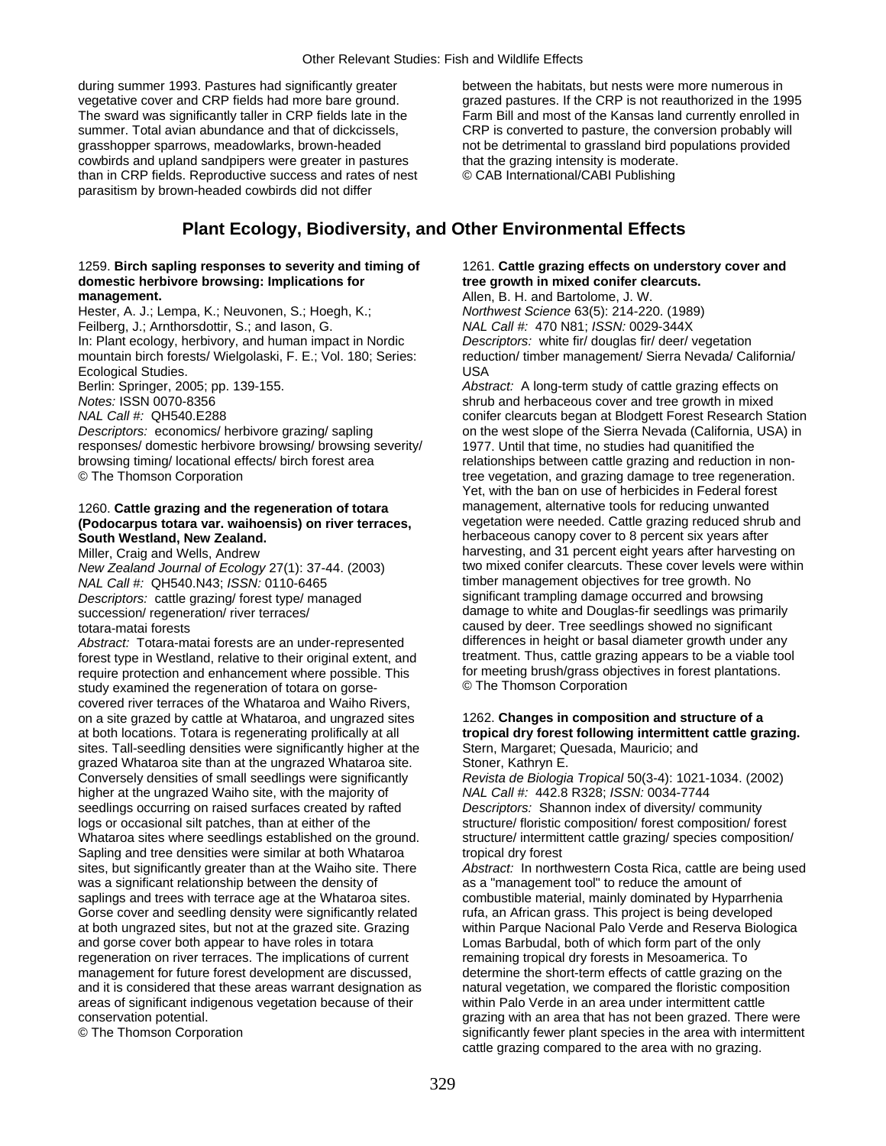during summer 1993. Pastures had significantly greater between the habitats, but nests were more numerous in vegetative cover and CRP fields had more bare ground. grazed pastures. If the CRP is not reauthorized in the 1995 The sward was significantly taller in CRP fields late in the Farm Bill and most of the Kansas land currently enrolled in summer. Total avian abundance and that of dickcissels, CRP is converted to pasture, the conversion probably will grasshopper sparrows, meadowlarks, brown-headed not be detrimental to grassland bird populations provided cowbirds and upland sandpipers were greater in pastures that the grazing intensity is moderate. than in CRP fields. Reproductive success and rates of nest © CAB International/CABI Publishing parasitism by brown-headed cowbirds did not differ

## **Plant Ecology, Biodiversity, and Other Environmental Effects**

### 1259. **Birch sapling responses to severity and timing of** 1261. **Cattle grazing effects on understory cover and domestic herbivore browsing: Implications for tree growth in mixed conifer clearcuts. management. and Bartolome, J. W. and Bartolome, J. W. and Bartolome, J. W.**

Hester, A. J.; Lempa, K.; Neuvonen, S.; Hoegh, K.; *Northwest Science* 63(5): 214-220. (1989)<br>Feilberg, J.; Arnthorsdottir, S.; and Iason, G. *NAL Call #: 470 N81; ISSN: 0029-344X* Feilberg, J.; Arnthorsdottir, S.; and lason, G. In: Plant ecology, herbivory, and human impact in Nordic *Descriptors:* white fir/ douglas fir/ deer/ vegetation mountain birch forests/ Wielgolaski, F. E.; Vol. 180; Series: reduction/ timber management/ Sierra Nevada/ Ca mountain birch forests/ Wielgolaski, F. E.; Vol. 180; Series: Ecological Studies. USA

responses/ domestic herbivore browsing/ browsing severity/ 1977. Until that time, no studies had quanitified the browsing timing/ locational effects/ birch forest area relationships between cattle grazing and reduction in non-© The Thomson Corporation tree vegetation, and grazing damage to tree regeneration.

## **(Podocarpus totara var. waihoensis) on river terraces, South Westland, New Zealand.** herbaceous canopy cover to 8 percent six years after

*Descriptors:* cattle grazing/ forest type/ managed

Abstract: Totara-matai forests are an under-represented differences in height or basal diameter growth under any<br>forest type in Westland, relative to their original extent, and treatment. Thus, cattle grazing appears to be forest type in Westland, relative to their original extent, and treatment. Thus, cattle grazing appears to be a viable to<br>require protection and enhancement where possible. This for meeting brush/grass objectives in forest require protection and enhancement where possible. This for meeting brush/grass objection<br>study examined the regeneration of totara on gorse-<br>C The Thomson Corporation study examined the regeneration of totara on gorsecovered river terraces of the Whataroa and Waiho Rivers, on a site grazed by cattle at Whataroa, and ungrazed sites 1262. **Changes in composition and structure of a**  at both locations. Totara is regenerating prolifically at all **tropical dry forest following intermittent cattle grazing.**  sites. Tall-seedling densities were significantly higher at the Stern, Margaret; Quesada, Mauricio; and grazed Whataroa site than at the ungrazed Whataroa site. Stoner, Kathryn E. Conversely densities of small seedlings were significantly *Revista de Biologia Tropical* 50(3-4): 1021-1034. (2002) higher at the ungrazed Waiho site, with the majority of *NAL Call #:* 442.8 R328; *ISSN:* 0034-7744 seedlings occurring on raised surfaces created by rafted *Descriptors:* Shannon index of diversity/ community logs or occasional silt patches, than at either of the structure/ floristic composition/ forest composition/ forest Whataroa sites where seedlings established on the ground. structure/ intermittent cattle grazing/ species composition/ Sapling and tree densities were similar at both Whataroa tropical dry forest sites, but significantly greater than at the Waiho site. There *Abstract:* In northwestern Costa Rica, cattle are being used was a significant relationship between the density of as a "management tool" to reduce the amount of saplings and trees with terrace age at the Whataroa sites. combustible material, mainly dominated by Hyparrhenia Gorse cover and seedling density were significantly related rufa, an African grass. This project is being developed at both ungrazed sites, but not at the grazed site. Grazing within Parque Nacional Palo Verde and Reserva Biologica and gorse cover both appear to have roles in totara Lomas Barbudal, both of which form part of the only regeneration on river terraces. The implications of current remaining tropical dry forests in Mesoamerica. To management for future forest development are discussed, determine the short-term effects of cattle grazing on the and it is considered that these areas warrant designation as natural vegetation, we compared the floristic composition areas of significant indigenous vegetation because of their within Palo Verde in an area under intermittent cattle conservation potential. grazing with an area that has not been grazed. There were

Berlin: Springer, 2005; pp. 139-155. *Abstract:* A long-term study of cattle grazing effects on *Notes:* ISSN 0070-8356 shrub and herbaceous cover and tree growth in mixed *NAL Call #:* QH540.E288 conifer clearcuts began at Blodgett Forest Research Station *Descriptors:* economics/ herbivore grazing/ sapling on the west slope of the Sierra Nevada (California, USA) in Yet, with the ban on use of herbicides in Federal forest 1260. **Cattle grazing and the regeneration of totara** management, alternative tools for reducing unwanted Miller, Craig and Wells, Andrew harvesting, and 31 percent eight years after harvesting on *New Zealand Journal of Ecology* 27(1): 37-44. (2003) two mixed conifer clearcuts. These cover levels were within<br>*NAL Call #:* OH540 N43: ISSN: 0110-6465 *NAL Call #:* QH540.N43; *ISSN:* 0110-6465 timber management objectives for tree growth. No<br>Descriptors: cattle grazing/ forest type/ managed significant trampling damage occurred and browsing succession/ regeneration/ river terraces/ The Communication of damage to white and Douglas-fir seedlings was primarily totara-matai forests<br>
Abstract: Totara-matai forests are an under-represented differences in height or basal diameter growth under any

© The Thomson Corporation significantly fewer plant species in the area with intermittent cattle grazing compared to the area with no grazing.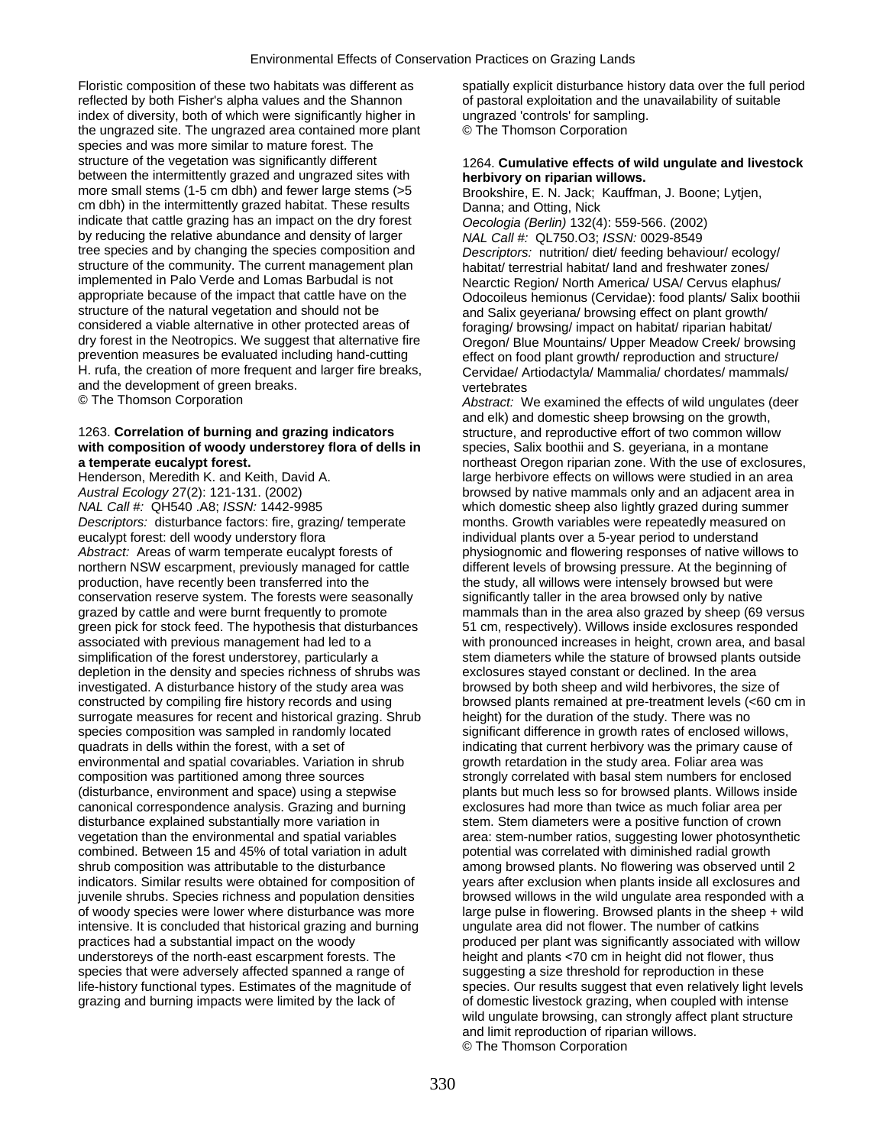Floristic composition of these two habitats was different as spatially explicit disturbance history data over the full period reflected by both Fisher's alpha values and the Shannon of pastoral exploitation and the unavailability of suitable index of diversity, both of which were significantly higher in ungrazed 'controls' for sampling. the ungrazed site. The ungrazed area contained more plant © The Thomson Corporation species and was more similar to mature forest. The structure of the vegetation was significantly different 1264. **Cumulative effects of wild ungulate and livestock** between the intermittently grazed and ungrazed sites with **herbivory on riparian willows.**<br>
more small stems (1-5 cm dbh) and fewer large stems (>5 Brookshire, F. N. Jack: Kauffma cm dbh) in the intermittently grazed habitat. These results Danna; and Otting, Nick indicate that cattle grazing has an impact on the dry forest *Oecologia (Berlin)* 132(4): 559-566. (2002) by reducing the relative abundance and density of larger *NAL Call #:* QL750.O3; *ISSN:* 0029-8549<br>tree species and by changing the species composition and *Descriptors:* nutrition/diet/ feeding behavi structure of the community. The current management plan habitat/ terrestrial habitat/ land and freshwater zones/<br>
implemented in Palo Verde and Lomas Barbudal is not Nearctic Region/ North America/ USA/ Cervus elaphu implemented in Palo Verde and Lomas Barbudal is not Nearctic Region/ North America/ USA/ Cervus elaphus/<br>Appropriate because of the impact that cattle have on the Odocoileus bemionus (Cervidae); food plants/ Salix boo appropriate because of the impact that cattle have on the Odocoileus hemionus (Cervidae): food plants/ Salix boothii<br>structure of the natural vegetation and should not be and Salix geveriana/ browsing effect on plant growt structure of the natural vegetation and should not be and Salix geyeriana/ browsing effect on plant growth/<br>considered a viable alternative in other protected areas of foraging/ browsing/ impact on habitat/ riparian habita considered a viable alternative in other protected areas of foraging/ browsing/ impact on habitat/ riparian habitat/<br>dry forest in the Neotropics. We suggest that alternative fire Cregon/ Blue Mountains/ Upper Meadow Creek dry forest in the Neotropics. We suggest that alternative fire Oregon/ Blue Mountains/ Upper Meadow Creek/ browsing<br>Direvention measures be evaluated including hand-cutting effect on food plant growth/ reproduction and str prevention measures be evaluated including hand-cutting effect on food plant growth/ reproduction and structure/<br>H. rufa, the creation of more frequent and larger fire breaks, Cervidae/ Artiodactyla/ Mammalia/ chordates/ m and the development of green breaks.<br>
© The Thomson Corporation and the development of the Abstract: W

## 1263. **Correlation of burning and grazing indicators** structure, and reproductive effort of two common willow with composition of woody understorey flora of dells in species, Salix boothii and S. geyeriana, in a montane

*Austral Ecology* 27(2): 121-131. (2002) browsed by native mammals only and an adjacent area in *NAL Call #:* QH540 .A8; *ISSN:* 1442-9985 which domestic sheep also lightly grazed during summer *Descriptors:* disturbance factors: fire, grazing/ temperate months. Growth variables were repeatedly measured on eucalypt forest: dell woody understory flora individual plants over a 5-year period to understand *Abstract:* Areas of warm temperate eucalypt forests of physiognomic and flowering responses of native willows to northern NSW escarpment, previously managed for cattle different levels of browsing pressure. At the beginning of production, have recently been transferred into the the study, all willows were intensely browsed but were conservation reserve system. The forests were seasonally significantly taller in the area browsed only by native grazed by cattle and were burnt frequently to promote mammals than in the area also grazed by sheep (69 versus green pick for stock feed. The hypothesis that disturbances 51 cm, respectively). Willows inside exclosures responded associated with previous management had led to a with pronounced increases in height, crown area, and basal simplification of the forest understorey, particularly a stem diameters while the stature of browsed plants outside depletion in the density and species richness of shrubs was exclosures stayed constant or declined. In the area investigated. A disturbance history of the study area was browsed by both sheep and wild herbivores, the size of surrogate measures for recent and historical grazing. Shrub height) for the duration of the study. There was no species composition was sampled in randomly located significant difference in growth rates of enclosed willows, quadrats in dells within the forest, with a set of indicating that current herbivory was the primary cause of environmental and spatial covariables. Variation in shrub growth retardation in the study area. Foliar area was composition was partitioned among three sources strongly correlated with basal stem numbers for enclosed (disturbance, environment and space) using a stepwise plants but much less so for browsed plants. Willows inside canonical correspondence analysis. Grazing and burning exclosures had more than twice as much foliar area per disturbance explained substantially more variation in stem. Stem diameters were a positive function of crown vegetation than the environmental and spatial variables area: stem-number ratios, suggesting lower photosynthetic combined. Between 15 and 45% of total variation in adult potential was correlated with diminished radial growth shrub composition was attributable to the disturbance among browsed plants. No flowering was observed until 2 indicators. Similar results were obtained for composition of years after exclusion when plants inside all exclosures and juvenile shrubs. Species richness and population densities browsed willows in the wild ungulate area responded with a of woody species were lower where disturbance was more large pulse in flowering. Browsed plants in the sheep + wild intensive. It is concluded that historical grazing and burning ungulate area did not flower. The number of catkins practices had a substantial impact on the woody produced per plant was significantly associated with willow<br>understoreys of the north-east escarpment forests. The height and plants <70 cm in height did not flower, thus understoreys of the north-east escarpment forests. The species that were adversely affected spanned a range of suggesting a size threshold for reproduction in these life-history functional types. Estimates of the magnitude of species. Our results suggest that even relatively light levels grazing and burning impacts were limited by the lack of onestic livestock grazing, when coupled with intense

Brookshire, E. N. Jack; Kauffman, J. Boone; Lytjen,

Descriptors: nutrition/ diet/ feeding behaviour/ ecology/ Cervidae/ Artiodactyla/ Mammalia/ chordates/ mammals/

Abstract: We examined the effects of wild ungulates (deer and elk) and domestic sheep browsing on the growth, **a temperate eucalypt forest. northeast Oregon riparian zone. With the use of exclosures,** Henderson, Meredith K. and Keith, David A. large herbivore effects on willows were studied in an area constructed by compiling fire history records and using browsed plants remained at pre-treatment levels (<60 cm in wild ungulate browsing, can strongly affect plant structure and limit reproduction of riparian willows. © The Thomson Corporation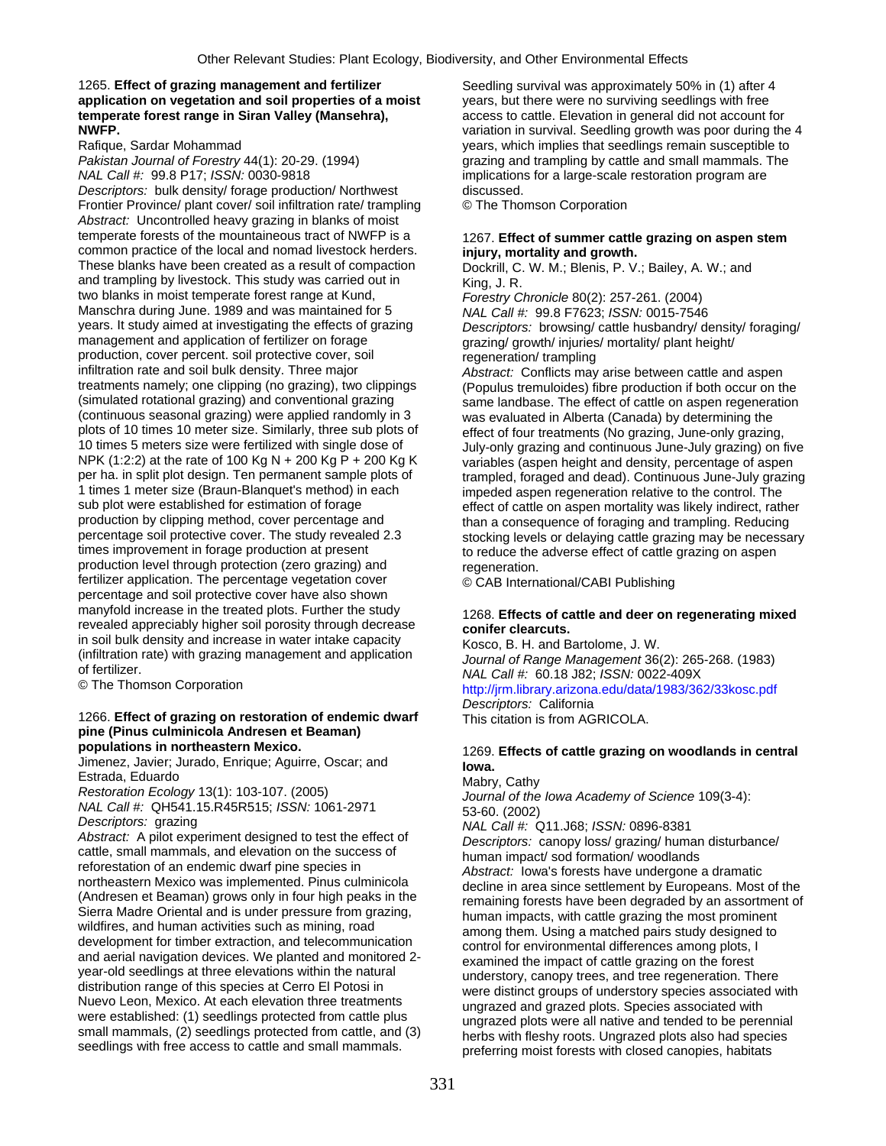### 1265. **Effect of grazing management and fertilizer** Seedling survival was approximately 50% in (1) after 4 **application on vegetation and soil properties of a moist** years, but there were no surviving seedlings with free **temperate forest range in Siran Valley (Mansehra),** access to cattle. Elevation in general did not account for **NWFP. NWFP. variation in survival. Seedling growth was poor during the 4**

**Descriptors:** bulk density/ forage production/ Northwest discussed. Frontier Province/ plant cover/ soil infiltration rate/ trampling © The Thomson Corporation *Abstract:* Uncontrolled heavy grazing in blanks of moist temperate forests of the mountaineous tract of NWFP is a 1267. **Effect of summer cattle grazing on aspen stem** common practice of the local and nomad livestock herders. **injury, mortality and growth.** common practice of the local and nomad livestock herders. These blanks have been created as a result of compaction Dockrill, C. W. M.; Blenis, P. V.; Bailey, A. W.; and and trampling by livestock. This study was carried out in  $\mu$  King, J. R. two blanks in moist temperate forest range at Kund, *Forestry Chronicle* 80(2): 257-261. (2004) Manschra during June. 1989 and was maintained for 5 *NAL Call #:* 99.8 F7623; *ISSN:* 0015-7546<br>
years. It study aimed at investigating the effects of grazing *Descriptors:* browsing/cattle husbandry/ de years. It study aimed at investigating the effects of grazing *Descriptors:* browsing/ cattle husbandry/ density/ foraging/ production, cover percent. soil protective cover, soil regeneration/ trampling<br>infiltration rate and soil bulk density. Three major and the abstract: Conflicts may infiltration rate and soil bulk density. Three major *Abstract:* Conflicts may arise between cattle and aspen<br>treatments namely; one clipping (no grazing), two clippings (Populus tremuloides) fibre production if both occ treatments namely; one clipping (no grazing), two clippings (Populus tremuloides) fibre production if both occur on the<br>(simulated rotational grazing) and conventional grazing same landbase. The effect of cattle on aspen r (simulated rotational grazing) and conventional grazing same landbase. The effect of cattle on aspen regeneration<br>(continuous seasonal grazing) were applied randomly in 3 was evaluated in Alberta (Canada) by determining th plots of 10 times 10 meter size. Similarly, three sub plots of effect of four treatments (No grazing, June-only grazing, 10 times 5 meters size were fertilized with single dose of July-only grazing and continuous June-July 10 times 5 meters size were fertilized with single dose of July-only grazing and continuous June-July grazing) on five<br>NPK (1:2:2) at the rate of 100 Kg N + 200 Kg P + 200 Kg K variables (aspen height and density, percenta NPK (1:2:2) at the rate of 100 Kg N + 200 Kg P + 200 Kg K variables (aspen height and density, percentage of aspen<br>per ha. in split plot design. Ten permanent sample plots of trampled, foraged and dead). Continuous June-Ju per ha. in split plot design. Ten permanent sample plots of trampled, foraged and dead). Continuous June-July grazing<br>1 times 1 meter size (Braun-Blanquet's method) in each impeded aspen regeneration relative to the contro 1 times 1 meter size (Braun-Blanquet's method) in each impeded aspen regeneration relative to the control. The<br>sub plot were established for estimation of forage expansion effect of cattle on aspen mortality was likely ind sub plot were established for estimation of forage effect of cattle on aspen mortality was likely indirect, rather<br>production by clipping method, cover percentage and effect of cattle on aspen mortality was likely indirect production by clipping method, cover percentage and than a consequence of foraging and trampling. Reducing<br>percentage soil protective cover. The study revealed 2.3 stocking levels or delaying cattle grazing may be necessa percentage soil protective cover. The study revealed 2.3 stocking levels or delaying cattle grazing may be necessary<br>times improvement in forage production at present the store of the adverse effect of cattle grazing on as production level through protection (zero grazing) and regeneration. fertilizer application. The percentage vegetation cover  $\bullet$  CAB International/CABI Publishing percentage and soil protective cover have also shown manyfold increase in the treated plots. Further the study 1268. **Effects of cattle and deer on regenerating mixed**<br>
revealed appreciably higher soil porosity through decrease **conifer clearcuts.**<br>  $\frac{1}{265}$  and Bartolome

## 1266. **Effect of grazing on restoration of endemic dwarf** This citation is from AGRICOLA. **pine (Pinus culminicola Andresen et Beaman)**

Rafique, Sardar Mohammad Theorem is a vears, which implies that seedlings remain susceptible to *Pakistan Journal of Forestry* 44(1): 20-29. (1994) grazing and trampling by cattle and small mammals. The *NAL Call #:* 99.8 P17; *ISSN:* 0030-9818 implications for a large-scale restoration program are

grazing/ growth/ injuries/ mortality/ plant height/

was evaluated in Alberta (Canada) by determining the to reduce the adverse effect of cattle grazing on aspen

in soil bulk density and increase in water intake capacity<br>
(infiltration rate) with grazing management and application<br>
of fertilizer.<br>
The Thomson Corporation<br>
Corporation<br>
Of the Call #: 60.18 J82; ISSN: 0022-409X<br>
http http://jrm.library.arizona.edu/data/1983/362/33kosc.pdf *Descriptors:* California

# **populations in northeastern Mexico. 1269. Effects of cattle grazing on woodlands in central <br>Jimenez, Javier; Jurado, Enrique; Aguirre, Oscar; and <b>Iowa. Iowa. Iowa. Interpretational Literation** Mahay Cathy

Estrada, Eduardo<br>
Restoration Ecology 13(1): 103-107. (2005)<br>
NAL Call #: QH541.15.R45R515; ISSN: 1061-2971<br>
Descriptors: grazing<br>
Abstract: A pilot experiment designed to test the effect of<br>
Abstract: A pilot experiment d

Abstract: A pilot experiment designed to test the effect of<br>
cattle, small mammals, and elevation on the success of<br>
reforestation of an endemic dwarf pine species in<br>
the result of success of<br>
reforestation of an endemic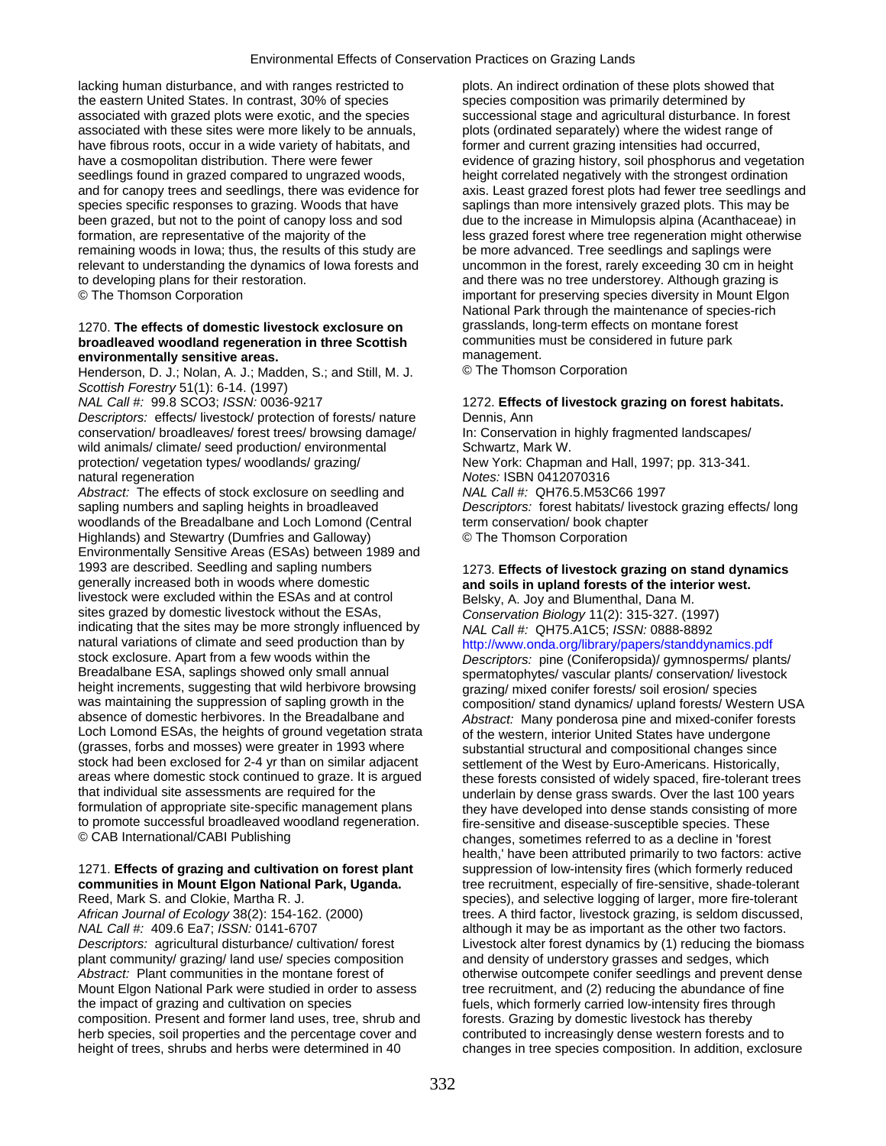lacking human disturbance, and with ranges restricted to plots. An indirect ordination of these plots showed that the eastern United States. In contrast, 30% of species section is species composition was primarily determined by associated with grazed plots were exotic, and the species successional stage and agricultural disturbance. In forest associated with these sites were more likely to be annuals, plots (ordinated separately) where the widest range of have fibrous roots, occur in a wide variety of habitats, and former and current grazing intensities had occurred, have a cosmopolitan distribution. There were fewer evidence of grazing history, soil phosphorus and vegetation seedlings found in grazed compared to ungrazed woods, height correlated negatively with the strongest ordination and for canopy trees and seedlings, there was evidence for axis. Least grazed forest plots had fewer tree seedlings and species specific responses to grazing. Woods that have saplings than more intensively grazed plots. This may be been grazed, but not to the point of canopy loss and sod due to the increase in Mimulopsis alpina (Acanthaceae) in formation, are representative of the majority of the less grazed forest where tree regeneration might otherwise remaining woods in Iowa; thus, the results of this study are be more advanced. Tree seedlings and saplings were relevant to understanding the dynamics of Iowa forests and uncommon in the forest, rarely exceeding 30 cm in height to developing plans for their restoration. The same of the and there was no tree understorey. Although grazing is

## 1270. **The effects of domestic livestock exclosure on** grasslands, long-term effects on montane forest **broadleaved woodland regeneration in three Scottish <b>communities represent** communities menture park in the const<br> **Example in the constant of the constant of the constant in the constant of the constant of the constant o environmentally sensitive areas. environmentally sensitive areas. now are all in the management. hereafted hereafter hereafter hereafter hereafter hereafter hereafter hereafter hereafter hereafter**

Henderson, D. J.; Nolan, A. J.; Madden, S.; and Still, M. J. *Scottish Forestry* 51(1): 6-14. (1997)

*Descriptors:* effects/ livestock/ protection of forests/ nature Dennis, Ann conservation/ broadleaves/ forest trees/ browsing damage/ In: Conservation in highly fragmented landscapes/ wild animals/ climate/ seed production/ environmental Schwartz, Mark W. protection/ vegetation types/ woodlands/ grazing/ New York: Chapman and Hall, 1997; pp. 313-341. natural regeneration *Notes:* ISBN 0412070316

*Abstract:* The effects of stock exclosure on seedling and *NAL Call #:* QH76.5.M53C66 1997 sapling numbers and sapling heights in broadleaved *Descriptors:* forest habitats/ livestock grazing effects/ long woodlands of the Breadalbane and Loch Lomond (Central term conservation/ book chapter Highlands) and Stewartry (Dumfries and Galloway) © The Thomson Corporation Environmentally Sensitive Areas (ESAs) between 1989 and 1993 are described. Seedling and sapling numbers 1273. **Effects of livestock grazing on stand dynamics**  generally increased both in woods where domestic **and soils in upland forests of the interior west.**  livestock were excluded within the ESAs and at control Belsky, A. Joy and Blumenthal, Dana M. sites grazed by domestic livestock without the ESAs, *Conservation Biology* 11(2): 315-327. (1997) indicating that the sites may be more strongly influenced by *NAL Call #:* QH75.A1C5; *ISSN:* 0888-8892 natural variations of climate and seed production than by http://www.onda.org/library/papers/standdynamics.pdf<br>stock exclosure. Apart from a few woods within the process of pescriptors: pine (Coniferonsida)/ gymnosperms/ stock exclosure. Apart from a few woods within the *Descriptors:* pine (Coniferopsida)/ gymnosperms/ plants/ Breadalbane ESA, saplings showed only small annual spermatophytes/ vascular plants/ conservation/ livestock<br>height increments, suggesting that wild herbivore browsing arazing/ mixed conifer forests/ soil erosion/ species height increments, suggesting that wild herbivore browsing grazing/ mixed conifer forests/ soil erosion/ species<br>was maintaining the suppression of sapling growth in the composition/ stand dynamics/ upland forests/ Wester was maintaining the suppression of sapling growth in the composition/ stand dynamics/ upland forests/ Western USA<br>absence of domestic herbivores. In the Breadalbane and *Abstract:* Many ponderosa pine and mixed-conifer for Loch Lomond ESAs, the heights of ground vegetation strata of the western, interior United States have undergone (grasses, forbs and mosses) were greater in 1993 where substantial structural and compositional changes since<br>stock had been exclosed for 2-4 yr than on similar adjacent settlement of the West by Euro-Americans. Historical stock had been exclosed for 2-4 yr than on similar adjacent settlement of the West by Euro-Americans. Historically,<br>areas where domestic stock continued to graze. It is argued these forests consisted of widely spaced fireareas where domestic stock continued to graze. It is argued these forests consisted of widely spaced, fire-tolerant trees<br>that individual site assessments are required for the starting underlain by dense grass swards. Over that individual site assessments are required for the underlain by dense grass swards. Over the last 100 years<br>formulation of appropriate site-specific management plans they have developed into dense stands consisting of m to promote successful broadleaved woodland regeneration. fire-sensitive and disease-susceptible species. These<br>© CAB International/CABI Publishing example of the changes, sometimes referred to as a decline in 'forest

## 1271. **Effects of grazing and cultivation on forest plant** suppression of low-intensity fires (which formerly reduced

*NAL Call #:* 409.6 Ea7; *ISSN:* 0141-6707 although it may be as important as the other two factors. *Descriptors:* agricultural disturbance/ cultivation/ forest Livestock alter forest dynamics by (1) reducing the biomass plant community/ grazing/ land use/ species composition and density of understory grasses and sedges, which Abstract: Plant communities in the montane forest of otherwise outcompete conifer seedlings and prevent dense Mount Elgon National Park were studied in order to asses tree recruitment, and (2) reducing the abundance of fine the impact of grazing and cultivation on species fuels, which formerly carried low-intensity fires through composition. Present and former land uses, tree, shrub and forests. Grazing by domestic livestock has thereby herb species, soil properties and the percentage cover and contributed to increasingly dense western forests and to height of trees, shrubs and herbs were determined in 40 changes in tree species composition. In addition, exclosure

© The Thomson Corporation important for preserving species diversity in Mount Elgon National Park through the maintenance of species-rich

## *NAL Call #:* 99.8 SCO3; *ISSN:* 0036-9217 1272. **Effects of livestock grazing on forest habitats.**

Abstract: Many ponderosa pine and mixed-conifer forests they have developed into dense stands consisting of more changes, sometimes referred to as a decline in 'forest health,' have been attributed primarily to two factors: active **communities in Mount Elgon National Park, Uganda.** tree recruitment, especially of fire-sensitive, shade-tolerant Reed, Mark S. and Clokie, Martha R. J. Supervention of the species), and selective logging of larger, more fire-tolerant African Journal of Ecology 38(2): 154-162. (2000) The species. A third factor, livestock grazing, is *trees. A third factor, livestock grazing, is seldom discussed,*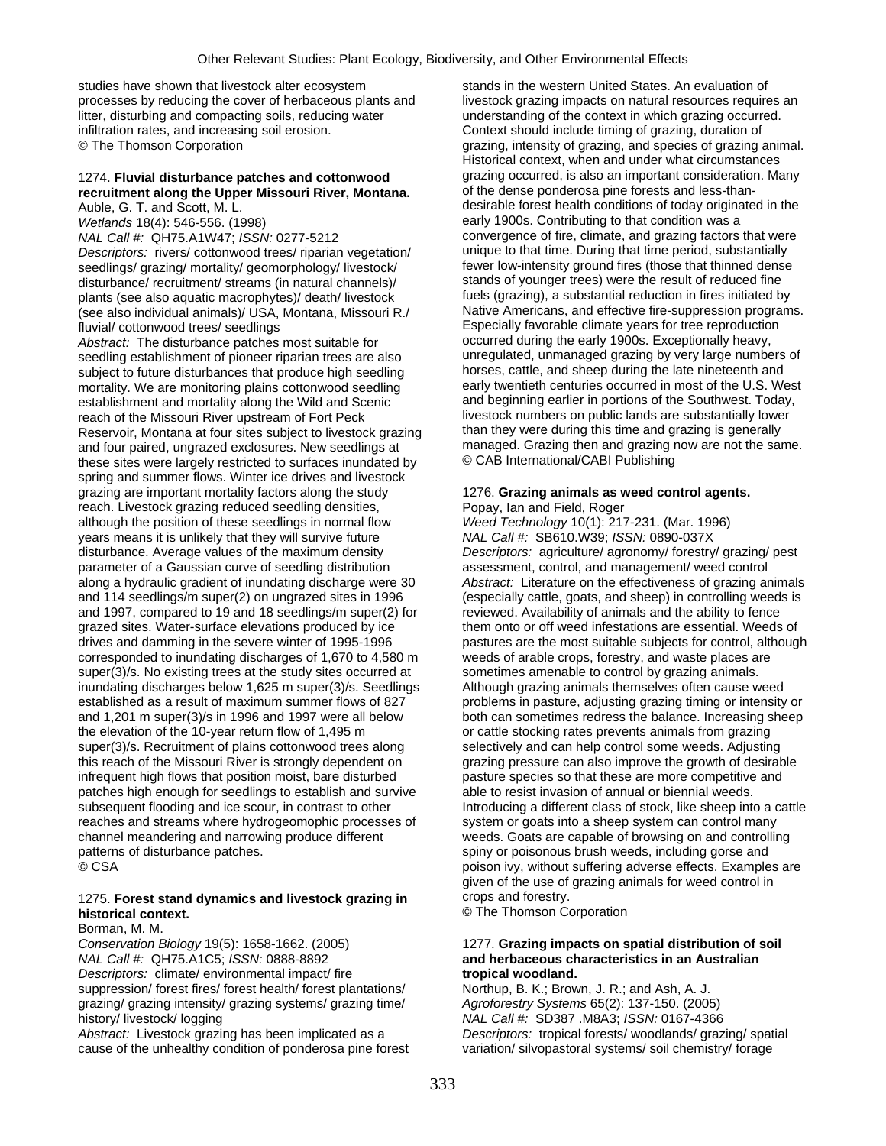studies have shown that livestock alter ecosystem stands in the western United States. An evaluation of litter, disturbing and compacting soils, reducing water **understanding of the context in which grazing occurred.** infiltration rates, and increasing soil erosion. Context should include timing of grazing, duration of

# recruitment along the Upper Missouri River, Montana.

*NAL Call #:* QH75.A1W47; *ISSN:* 0277-5212 convergence of fire, climate, and grazing factors that wer<br>Descriptors: rivers/ cottonwood trees/ riparian vegetation/ unique to that time. During that time period, substantially *Descriptors:* rivers/ cottonwood trees/ riparian vegetation/ seedlings/ grazing/ mortality/ geomorphology/ livestock/ fewer low-intensity ground fires (those that thinned dense<br>disturbance/ recruitment/ streams (in natural channels)/ stands of younger trees) were the result of reduc disturbance/ recruitment/ streams (in natural channels)/ stands of younger trees) were the result of reduced fine<br>plants (see also aquatic macrophytes)/ death/ livestock fuels (grazing), a substantial reduction in fires in (see also individual animals)/ USA, Montana, Missouri R./

Abstract: The disturbance patches most suitable for **occurred during the early 1900s.** Exceptionally heavy, Abstract: The disturbance patches most suitable for our occurred during the early 1900s. Exceptionally heavy,  $\epsilon$ seedling establishment of pioneer riparian trees are also unregulated, unmanaged grazing by very large numbers<br>subject to future disturbances that produce bigh seedling borses, cattle, and sheep during the late nineteenth subject to future disturbances that produce high seedling horses, cattle, and sheep during the late nineteenth and<br>mortality We are monitoring plains cottonwood seedling early twentieth centuries occurred in most of the U. mortality. We are monitoring plains cottonwood seedling early twentieth centuries occurred in most of the U.S. Wes<br>The stablishment and mortality along the Wild and Scenic and beginning earlier in portions of the Southwest establishment and mortality along the Wild and Scenic reach of the Missouri River upstream of Fort Peck livestock numbers on public lands are substantially lower<br>Reservoir, Montana at four sites subject to livestock grazing than they were during this time and grazing is gener Reservoir, Montana at four sites subject to livestock grazing and four paired, ungrazed exclosures. New seedlings at managed. Grazing then and grazing now are not the same.<br>these sites were largely restricted to surfaces inundated by  $\bullet$  CAB International/CABI Publishing these sites were largely restricted to surfaces inundated by spring and summer flows. Winter ice drives and livestock grazing are important mortality factors along the study 1276. **Grazing animals as weed control agents.**  reach. Livestock grazing reduced seedling densities, Popay, Ian and Field, Roger although the position of these seedlings in normal flow *Weed Technology* 10(1): 217-231. (Mar. 1996) years means it is unlikely that they will survive future *NAL Call #:* SB610.W39; *ISSN:* 0890-037X disturbance. Average values of the maximum density *Descriptors:* agriculture/ agronomy/ forestry/ grazing/ pest parameter of a Gaussian curve of seedling distribution assessment, control, and management/ weed control along a hydraulic gradient of inundating discharge were 30 *Abstract:* Literature on the effectiveness of grazing animals and 114 seedlings/m super(2) on ungrazed sites in 1996 (especially cattle, goats, and sheep) in controlling weeds is and 1997, compared to 19 and 18 seedlings/m super(2) for reviewed. Availability of animals and the ability to fence grazed sites. Water-surface elevations produced by ice them onto or off weed infestations are essential. Weeds of corresponded to inundating discharges of 1,670 to 4,580 m weeds of arable crops, forestry, and waste places are super(3)/s. No existing trees at the study sites occurred at sometimes amenable to control by grazing animals. inundating discharges below 1,625 m super(3)/s. Seedlings Although grazing animals themselves often cause weed established as a result of maximum summer flows of 827 problems in pasture, adjusting grazing timing or intensity or and 1,201 m super(3)/s in 1996 and 1997 were all below both can sometimes redress the balance. Increasing sheep the elevation of the 10-year return flow of 1,495 m or cattle stocking rates prevents animals from grazing super(3)/s. Recruitment of plains cottonwood trees along selectively and can help control some weeds. Adjusting this reach of the Missouri River is strongly dependent on grazing pressure can also improve the growth of desirable infrequent high flows that position moist, bare disturbed pasture species so that these are more competitive and patches high enough for seedlings to establish and survive able to resist invasion of annual or biennial weeds. subsequent flooding and ice scour, in contrast to other Introducing a different class of stock, like sheep into a cattle reaches and streams where hydrogeomophic processes of system or goats into a sheep system can control many channel meandering and narrowing produce different weeds. Goats are capable of browsing on and controlling patterns of disturbance patches. The spiny or poisonous brush weeds, including gorse and

## 1275. **Forest stand dynamics and livestock grazing in** crops and forestry. **historical context.**  $\bullet$  **C** The Thomson Corporation

## Borman, M. M.

*Conservation Biology* 19(5): 1658-1662. (2005) 1277. **Grazing impacts on spatial distribution of soil**  *NAL Call #:* QH75.A1C5; *ISSN:* 0888-8892 **and herbaceous characteristics in an Australian**  *Descriptors:* climate/ environmental impact/ fire **tropical woodland.**  suppression/ forest fires/ forest health/ forest plantations/ Northup, B. K.; Brown, J. R.; and Ash, A. J. grazing/ grazing intensity/ grazing systems/ grazing time/ *Agroforestry Systems* 65(2): 137-150. (2005) history/ livestock/ logging *NAL Call #:* SD387 .M8A3; *ISSN:* 0167-4366

*Abstract:* Livestock grazing has been implicated as a *Descriptors:* tropical forests/ woodlands/ grazing/ spatial cause of the unhealthy condition of ponderosa pine forest variation/ silvopastoral systems/ soil chemistry/ forage

processes by reducing the cover of herbaceous plants and livestock grazing impacts on natural resources requires an © The Thomson Corporation grazing, intensity of grazing, and species of grazing animal. Historical context, when and under what circumstances 1274. **Fluvial disturbance patches and cottonwood** grazing occurred, is also an important consideration. Many Auble, G. T. and Scott, M. L. **Constructions** desirable forest health conditions of today originated in the *Wetlands* 18(4): 546-556. (1998)<br>*NAL Call #:* OH75 A1W47: *ISSN:* 0277-5212<br>MAL Call #: OH75 A1W47: *ISSN:* 0277-5212 plants (see also aquatic macrophytes)/ death/ livestock fuels (grazing), a substantial reduction in fires initiated by<br>(see also individual animals)/ USA Montana Missouri R / [[[[[[[[[[[[[[[]]]]]] Native Americans, and eff fluvial/ cottonwood trees/ seedlings<br>Abstract: The disturbance patches most suitable for executive occurred during the early 1900s. Exceptionally heavy,

drives and damming in the severe winter of 1995-1996 pastures are the most suitable subjects for control, although © CSA poison ivy, without suffering adverse effects. Examples are given of the use of grazing animals for weed control in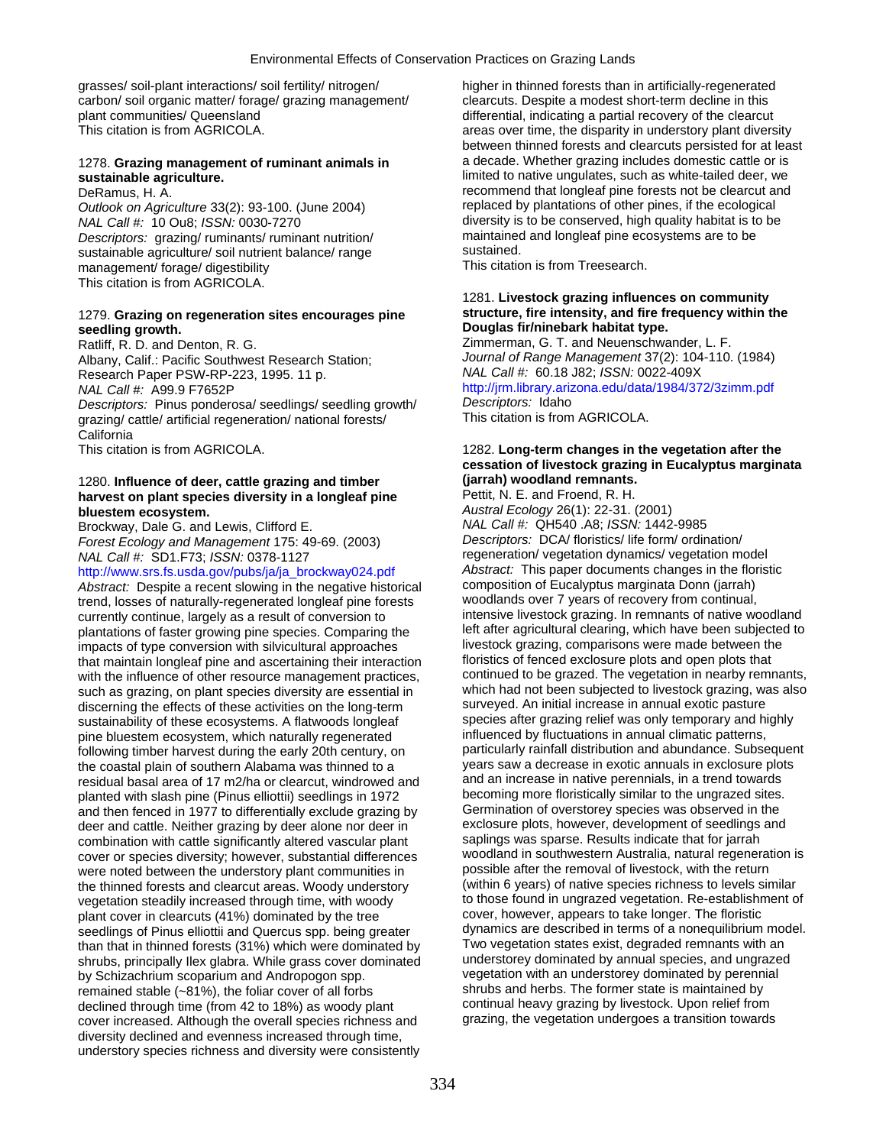grasses/ soil-plant interactions/ soil fertility/ nitrogen/ higher in thinned forests than in artificially-regenerated carbon/ soil organic matter/ forage/ grazing management/ clearcuts. Despite a modest short-term decline in this<br>plant communities/ Queensland differential, indicating a partial recovery of the clearcut This citation is from AGRICOLA. This citation is from AGRICOLA.

*Outlook on Agriculture* 33(2): 93-100. (June 2004) *Descriptors:* grazing/ ruminants/ ruminant nutrition/ maintained maintained and local pine ecosystems are to be to be a sustained. sustainable agriculture/ soil nutrient balance/ range sustained.<br>management/ for ane/ digestibility subset of the subset of this citation is from Treesearch. management/ forage/ digestibility This citation is from AGRICOLA.

## **seedling growth. Douglas fir/ninebark habitat type. Douglas fir/ninebark habitat type.**

Albany, Calif.: Pacific Southwest Research Station; *Journal of Range Management* 37(2): 104<br>Research Paper PSW-RP-223, 1995, 11 p. (*NAL Call #: 60.18 J82; ISSN: 0022-409X* Research Paper PSW-RP-223, 1995. 11 p. *NAL Call #:* A99.9 F7652P<br>*Descriptors:* Pinus ponderosa/seedlings/seedling growth/ *Descriptors:* Idaho *Descriptors:* Pinus ponderosa/ seedlings/ seedling growth/ *Descriptors:* Idaho grazing/ cattle/ artificial regeneration/ national forests/ California

## 1280. **Influence of deer, cattle grazing and timber (jarrah) woodland remnants.**<br> **harvest on plant species diversity in a longleaf pine** Pettit, N. E. and Froend, R. H. harvest on plant species diversity in a longleaf pine

Brockway, Dale G. and Lewis, Clifford E. *NAL Call #:* QH540 .A8; *ISSN:* 1442-9985 *Forest Ecology and Management* 175: 49-69. (2003)

*Abstract:* Despite a recent slowing in the negative historical composition of Eucalyptus marginata Donn (jarrah) trend, losses of naturally-regenerated longleaf pine forests currently continue, largely as a result of conversion to intensive livestock grazing. In remnants of native woodland<br>
plantations of faster growing pine species. Comparing the left after agricultural clearing, which have b plantations of faster growing pine species. Comparing the left after agricultural clearing, which have been subjected<br>impacts of type conversion with silvicultural approaches livestock grazing, comparisons were made betwee impacts of type conversion with silvicultural approaches livestock grazing, comparisons were made between the<br>that maintain longleaf pine and ascertaining their interaction floristics of fenced exclosure plots and open plo that maintain longleaf pine and ascertaining their interaction floristics of fenced exclosure plots and open plots that<br>with the influence of other resource management practices. Continued to be grazed. The vegetation in n with the influence of other resource management practices, continued to be grazed. The vegetation in nearby remnants,<br>such as grazing, on plant species diversity are essential in which had not been subjected to livestock g such as grazing, on plant species diversity are essential in which had not been subjected to livestock grazing, was discerning the effects of these activities on the long-term surveyed. An initial increase in annual exotic discerning the effects of these activities on the long-term surveyed. An initial increase in annual exotic pasture<br>sustainability of these ecosystems. A flatwoods longleaf species after grazing relief was only temporary an sustainability of these ecosystems. A flatwoods longleaf species after grazing relief was only temporary and highlenic patterns,<br>influenced by fluctuations in annual climatic patterns, pine bluestem ecosystem, which naturally regenerated influenced by fluctuations in annual climatic patterns,<br>
following timber harvest during the early 20th century, on particularly rainfall distribution and abundance. Sub following timber harvest during the early 20th century, on particularly rainfall distribution and abundance. Subsequentle reconting the coastal plain of southern Alabama was thinned to a the coastal plain of southern Alabama was thinned to a years saw a decrease in exotic annuals in exclosure plo<br>
residual basal area of 17 m2/ha or clearcut windrowed and and an increase in native perennials, in a trend tow residual basal area of 17 m2/ha or clearcut, windrowed and an increase in native perennials, in a trend towards<br>planted with slash pine (Pinus elliottii) seedlings in 1972 becoming more floristically similar to the ungraze planted with slash pine (Pinus elliottii) seedlings in 1972 becoming more floristically similar to the ungrazed sites<br>And then fenced in 1977 to differentially exclude grazing by Germination of overstorey species was obser and then fenced in 1977 to differentially exclude grazing by Germination of overstorey species was observed in the<br>deer and cattle. Neither grazing by deer alone nor deer in exclosure plots, however, development of seedlin deer and cattle. Neither grazing by deer alone nor deer in exclosure plots, however, development of seedlings<br>
combination with cattle significantly altered vascular plant saplings was sparse. Results indicate that for jar combination with cattle significantly altered vascular plant saplings was sparse. Results indicate that for jarrah<br>cover or species diversity: however, substantial differences woodland in southwestern Australia, natural re cover or species diversity; however, substantial differences woodland in southwestern Australia, natural regeneration were noted between the understory plant communities in possible after the removal of livestock, with the were noted between the understory plant communities in the thinned forests and clearcut areas. Woody understory (within 6 years) of native species richness to levels similar vegetation steadily increased through time, with woody to those found in ungrazed vegetation. Re-establishment of plant cover in clearcuts (41%) dominated by the tree cover, however, appears to take longer. The floristic plant cover in clearcuts (41%) dominated by the tree cover, however, appears to take longer. The floristic<br>seedlings of Pinus elliottii and Quercus spp, being greater dividinations are described in terms of a nonequilibriu seedlings of Pinus elliottii and Quercus spp. being greater dynamics are described in terms of a nonequilibrium mod<br>than that in thinned forests (31%) which were dominated by Two vegetation states exist, degraded remnants than that in thinned forests (31%) which were dominated by Two vegetation states exist, degraded remnants with an<br>shrubs, principally llex glabra. While grass cover dominated understorey dominated by annual species, and un shrubs, principally Ilex glabra. While grass cover dominated understorey dominated by annual species, and ungraze<br>hy Schizachrium scoparium and Andropogon spp. vegetation with an understorey dominated by perennial by Schizachrium scoparium and Andropogon spp. vegetation with an understorey dominated by perenni<br>remained stable (~81%), the foliar cover of all forbs. shrubs and herbs. The former state is maintained by remained stable (~81%), the foliar cover of all forbs shrubs and herbs. The former state is maintained by<br>declined through time (from 42 to 18%) as woody plant continual heavy grazing by livestock. Upon relief from declined through time (from 42 to 18%) as woody plant continual heavy grazing by livestock. Upon relief from<br>cover increased. Although the overall species richness and grazing, the vegetation undergoes a transition towards cover increased. Although the overall species richness and diversity declined and evenness increased through time, understory species richness and diversity were consistently

differential, indicating a partial recovery of the clearcut between thinned forests and clearcuts persisted for at least 1278. **Grazing management of ruminant animals in** a decade. Whether grazing includes domestic cattle or is **sustainable agriculture.**<br> **DeRamus, H. A. DeRamus, H. A. limited to native ungulates, such as white-tailed deer, we**<br> **DeRamus, H. A. Propose and Secure 2016** recommend that longleaf pine forests not be clearcut and<br>replaced by plantations of other pines, if the ecological *NAL Call #:* 10 Ou8; *ISSN:* 0030-7270 diversity is to be conserved, high quality habitat is to be <br>Descriptors: grazing/ ruminants/ ruminant nutrition/ maintained and longleaf pine ecosystems are to be

## 1281. **Livestock grazing influences on community**  1279. **Grazing on regeneration sites encourages pine structure, fire intensity, and fire frequency within the**

Ratliff, R. D. and Denton, R. G.<br>Albany, Calif.: Pacific Southwest Research Station: Journal of Range Management 37(2): 104-110. (1984)

## This citation is from AGRICOLA. 1282. **Long-term changes in the vegetation after the cessation of livestock grazing in Eucalyptus marginata**

**bluestem ecosystem.** *Austral Ecology* 26(1): 22-31. (2001) *NAL Call #:* SD1.F73; *ISSN:* 0378-1127 regeneration/ vegetation dynamics/ vegetation model<br>http://www.srs.fs.usda.gov/pubs/ja/ja\_brockway024.pdf *Abstract:* This paper documents changes in the floristic [http://www.srs.fs.usda.gov/pubs/ja/ja\\_brockway024.pdf](http://www.srs.fs.usda.gov/pubs/ja/ja_brockway024.pdf) *Abstract:* This paper documents changes in the floridation of Eucalyptus marginata Donn (iarrah)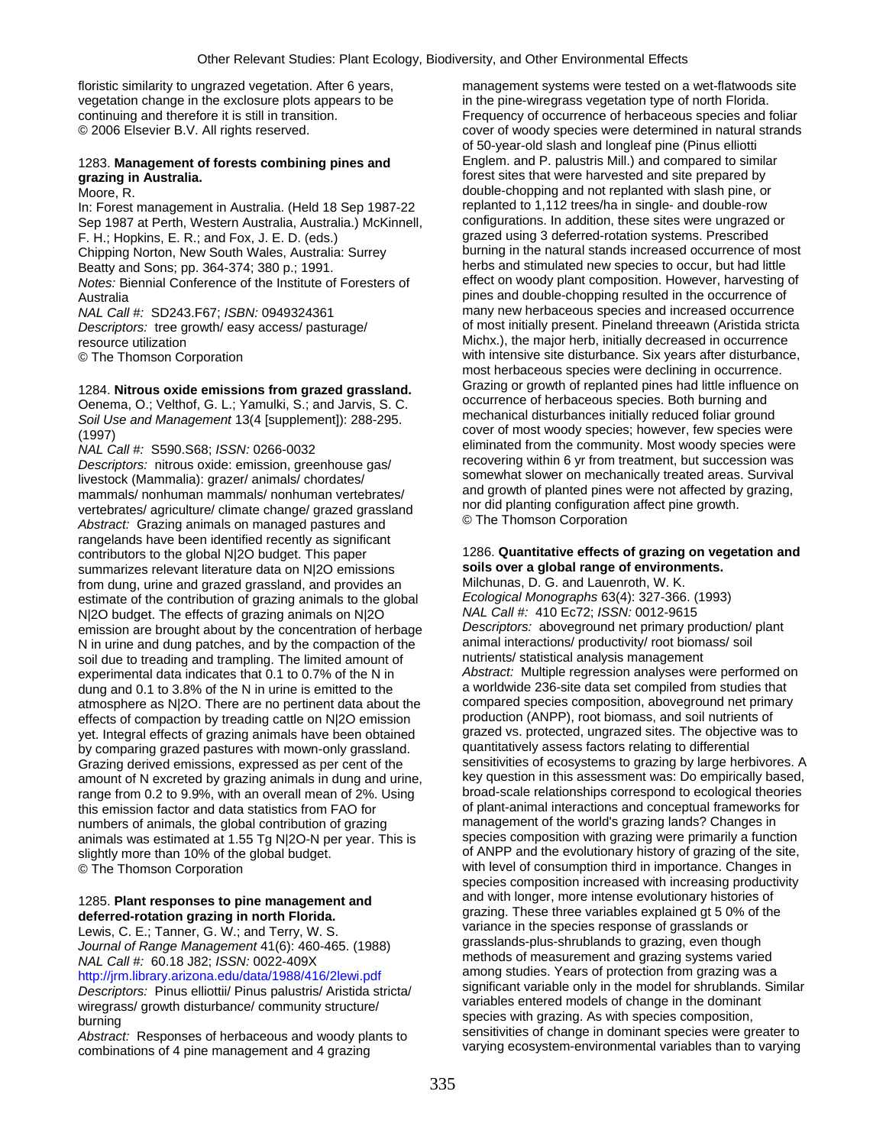vegetation change in the exclosure plots appears to be in the pine-wiregrass vegetation type of north Florida.

## **grazing in Australia.** The state of the state of the state state state were harvested and site prepared by

In: Forest management in Australia. (Held 18 Sep 1987-22 replanted to 1,112 trees/ha in single- and double-row<br>Sep 1987 at Perth, Western Australia, Australia.) McKinnell. configurations. In addition, these sites were ungr Sep 1987 at Perth, Western Australia, Australia.) McKinnell, configurations. In addition, these sites were ungrazed<br>F. H. Hopkins, F. R. and Fox. J. F. D. (eds.) grazed using 3 deferred-rotation systems. Prescribed F. H.; Hopkins, E. R.; and Fox, J. E. D. (eds.) grazed using 3 deferred-rotation systems. Prescribed<br>Chipping Norton, New South Wales, Australia: Surrey burning in the natural stands increased occurrence of most Chipping Norton, New South Wales, Australia: Surrey Beatty and Sons; pp. 364-374; 380 p.; 1991.<br>
Notes: Biennial Conference of the Institute of Foresters of effect on woody plant composition. However, harvesting of *Notes:* Biennial Conference of the Institute of Foresters of Australia pines and double-chopping resulted in the occurrence of *NAL Call #:* SD243.F67; *ISBN:* 0949324361 many new herbaceous species and increased occurrence

Oenema, O.; Velthof, G. L.; Yamulki, S.; and Jarvis, S. C. occurrence of herbaceous species. Both burning and<br>Soil Use and Management 13(4 [supplement]): 288-295 mechanical disturbances initially reduced foliar ground

recovering within 6 yr from treatment, but succession was *Descriptors:* nitrous oxide: emission, greenhouse gas/ somewhat slower on mechanically treated areas. Survival livestock (Mammalia): grazer/ animals/ chordates/ mammals/ nonhuman mammals/ nonhuman vertebrates/ and growth of planted pines were not affected by<br>vertebrates/ agriculture/ climate change/ grazed grassland on did planting configuration affect pine growth. vertebrates/ agriculture/ climate change/ grazed grassland on a nor did planting configuration<br>Abstract: Grazing animals on managed pastures and  $\textcircled{}$  The Thomson Corporation rangelands have been identified recently as significant contributors to the global N|2O budget. This paper 1286. **Quantitative effects of grazing on vegetation and**<br>
summarizes relevant literature data on N|2O emissions soils over a global range of environments. summarizes relevant literature data on N|2O emissions **soils over a global range of environn**<br> **Solls over a global range of environments of the system of the system of the system of the system of the system** from dung, urine and grazed grassland, and provides an Milchunas, D. G. and Lauenroth, W. K.<br>estimate of the contribution of grazing animals to the global *Ecological Monographs* 63(4): 327-366. (1993) estimate of the contribution of grazing animals to the global *Ecological Monographs* 63(4): 327-366. (1993)<br>NICO budget The effects of grazing animals on NICO MAL Call #: 410 Ec72; ISSN: 0012-9615 N|2O budget. The effects of grazing animals on N|2O *NAL Call #:* 410 Ec72; *ISSN:* 0012-9615 emission are brought about by the concentration of herbage *Descriptors:* aboveground net primary production/<br>N in urine and dung patches, and by the compaction of the animal interactions/ productivity/ root biomass/ soil N in urine and dung patches, and by the compaction of the animal interactions/ productivity/ root biom<br>soil due to treading and trampling. The limited amount of animal internts/ statistical analysis management soil due to treading and trampling. The limited amount of nutrients/ statistical analysis management<br>experimental data indicates that 0.1 to 0.7% of the N in Abstract: Multiple regression analyses were performed on experimental data indicates that 0.1 to 0.7% of the N in *Abstract:* Multiple regression analyses were performed o<br>dung and 0.1 to 3.8% of the N in urine is emitted to the a worldwide 236-site data set compiled from studie dung and 0.1 to 3.8% of the N in urine is emitted to the a worldwide 236-site data set compiled from studies that<br>atmosphere as NI2O. There are no pertinent data about the compared species composition, aboveground net prim atmosphere as N|2O. There are no pertinent data about the compared species composition, aboveground net prim<br>effects of compaction by treading cattle on N|2O emission production (ANPP), root biomass, and soil nutrients of effects of compaction by treading cattle on N|2O emission production (ANPP), root biomass, and soil nutrients of<br>
yet, Integral effects of grazing animals have been obtained grazed vs. protected, ungrazed sites. The object yet. Integral effects of grazing animals have been obtained grazed vs. protected, ungrazed sites. The objective<br>by comparing grazed pastures with mown-only grassland. The quantitatively assess factors relating to different amount of N excreted by grazing animals in dung and urine, bey question in this assessment was: Do empirically based,<br>
range from 0.2 to 9.9%, with an overall mean of 2%. Using broad-scale relationships correspond to ecolo range from 0.2 to 9.9%, with an overall mean of 2%. Using broad-scale relationships correspond to ecological theories<br>this emission factor and data statistics from EAO for or of plant-animal interactions and conceptual fra this emission factor and data statistics from FAO for only of plant-animal interactions and conceptual frameworks<br>numbers of animals, the global contribution of grazing numbers of animals, the global contribution of grazing management of the world's grazing lands? Changes in<br>Animals was estimated at 1.55 To NI2O-N per vear. This is species composition with grazing were primarily a functio animals was estimated at 1.55 Tg N|2O-N per year. This is slightly more than 10% of the global budget.  $\overline{a}$  of ANPP and the evolutionary history of grazing of the site, © The Thomson Corporation With Level of consumption third in importance. Changes in

floristic similarity to ungrazed vegetation. After 6 years, management systems were tested on a wet-flatwoods site continuing and therefore it is still in transition.<br>
© 2006 Elsevier B.V. All rights reserved. 
Sover of woody species were determined in natural strands cover of woody species were determined in natural strands of 50-year-old slash and longleaf pine (Pinus elliotti 1283. **Management of forests combining pines and** Englem. and P. palustris Mill.) and compared to similar Moore, R.<br>In: Forest management in Australia. (Held 18 Sep 1987-22 replanted to 1,112 trees/ha in single- and double-row *Descriptors:* tree growth/ easy access/ pasturage/ of most initially present. Pineland threeawn (Aristida stricta resource utilization **Michamatic Contract Contract Contract Contract Contract Contract Contract Contract Contract Contract Contract Contract Contract Contract Contract Contract Contract Contract Contract Contract Contract** © The Thomson Corporation with intensive site disturbance. Six years after disturbance, most herbaceous species were declining in occurrence. 1284. **Nitrous oxide emissions from grazed grassland.** Grazing or growth of replanted pines had little influence on 1284. **Nitrous oxide emissions from grazed grassland.** Grazing or growth of replanted pines had little inf Soil Use and Management 13(4 [supplement]): 288-295.<br>
(1997)<br>
MAL Call #: S590.S68; ISSN: 0266-0032<br>
NAL Call #: S590.S68; ISSN: 0266-0032<br>
NAL Call #: S590.S68; ISSN: 0266-0032<br>
Pescriptors: pitrous oxide: emission greenb

by comparing grazed pastures with mown-only grassland. Guantitatively assess factors relating to differential<br>Grazing derived emissions, expressed as per cent of the sensitivities of ecosystems to grazing by large herbi Grazing derived emissions, expressed as per cent of the sensitivities of ecosystems to grazing by large herbivores. A<br>Amount of N excreted by grazing animals in dung and urine key question in this assessment was: Do empiri species composition increased with increasing productivity 1285. Plant responses to pine management and<br>
deferred-rotation grazing in north Florida.<br>
Lewis, C. E.; Tanner, G. W.; and Terry, W. S.<br>
Journal of Range Management 41(6): 460-465. (1988)<br>
NAL Call #: 60.18 J82; ISSN: 002 <http://jrm.library.arizona.edu/data/1988/416/2lewi.pdf>among studies. Years of protection from grazing was a<br>
Descriptors: Pinus elliottii/ Pinus palustris/ Aristida stricta/<br>
wiregrass/ growth disturbance/ community struc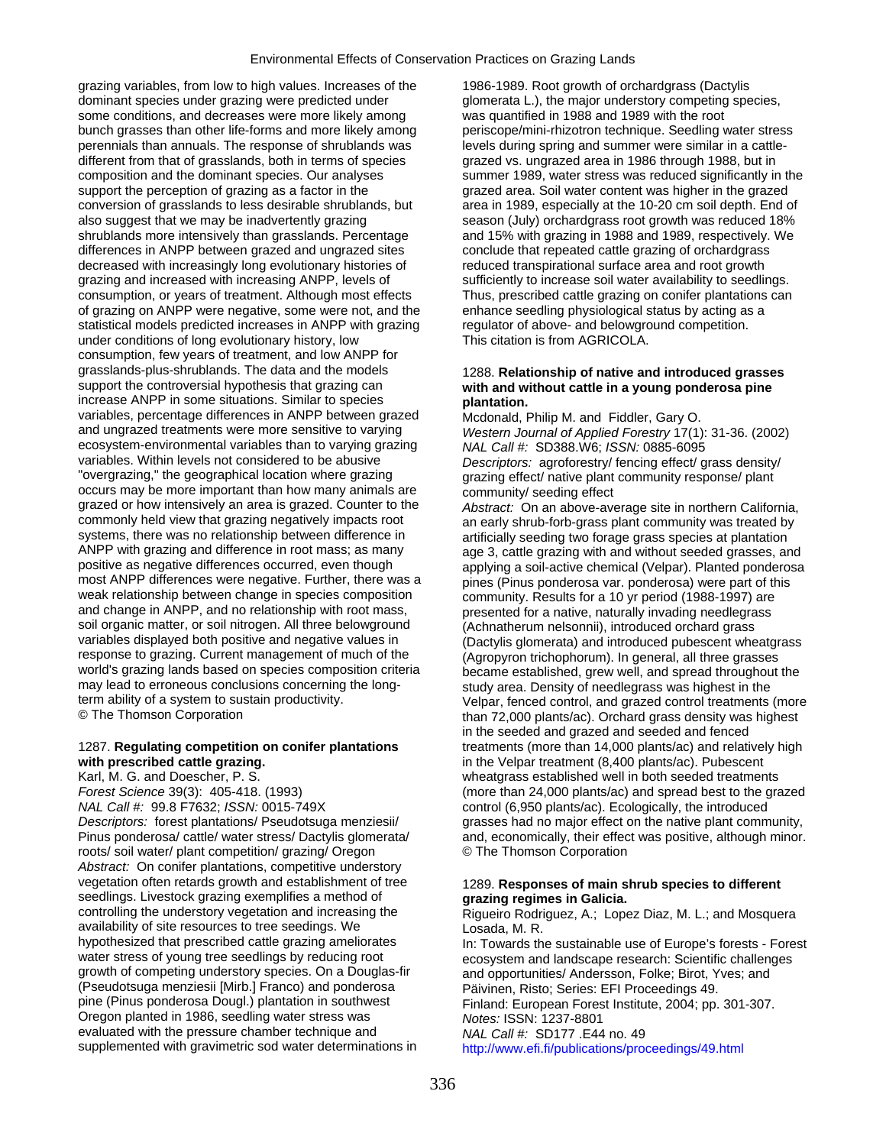grazing variables, from low to high values. Increases of the 1986-1989. Root growth of orchardgrass (Dactylis dominant species under grazing were predicted under glomerata L.), the major understory competing species, some conditions, and decreases were more likely among was quantified in 1988 and 1989 with the root<br>bunch grasses than other life-forms and more likely among periscope/mini-rhizotron technique. Seedling water stress bunch grasses than other life-forms and more likely among perennials than annuals. The response of shrublands was levels during spring and summer were similar in a cattledifferent from that of grasslands, both in terms of species grazed vs. ungrazed area in 1986 through 1988, but in composition and the dominant species. Our analyses summer 1989, water stress was reduced significantly in the support the perception of grazing as a factor in the grazed area. Soil water content was higher in the grazed conversion of grasslands to less desirable shrublands, but area in 1989, especially at the 10-20 cm soil depth. End of also suggest that we may be inadvertently grazing season (July) orchardgrass root growth was reduced 18% shrublands more intensively than grasslands. Percentage and 15% with grazing in 1988 and 1989, respectively. We differences in ANPP between grazed and ungrazed sites conclude that repeated cattle grazing of orchardgrass decreased with increasingly long evolutionary histories of reduced transpirational surface area and root growth<br>grazing and increased with increasing ANPP, levels of sufficiently to increase soil water availability to seed consumption, or years of treatment. Although most effects Thus, prescribed cattle grazing on conifer plantations can of grazing on ANPP were negative, some were not, and the enhance seedling physiological status by acting as a statistical models predicted increases in ANPP with grazing regulator of above- and belowground competition.<br>under conditions of long evolutionary history, low This citation is from AGRICOLA. under conditions of long evolutionary history, low consumption, few years of treatment, and low ANPP for grasslands-plus-shrublands. The data and the models 1288. **Relationship of native and introduced grasses**  $\frac{1}{2}$  support the controversial hypothesis that grazing can<br>**with and without cattle in a young ponderosa pine** increase ANPP in some situations. Similar to species **plantation.**  variables, percentage differences in ANPP between grazed Mcdonald, Philip M. and Fiddler, Gary O. and ungrazed treatments were more sensitive to varying *Western Journal of Applied Forestry* 17(1): 31-36. (2002) ecosystem-environmental variables than to varying grazing *NAL Call #:* SD388.W6; *ISSN:* 0885-6095 variables. Within levels not considered to be abusive *Descriptors:* agroforestry/ fencing effect/ grass density/ occurs may be more important than how many animals are community/ seeding effect<br>grazed or how intensively an area is grazed. Counter to the *Abstract:* On an above-ave grazed or how intensively an area is grazed. Counter to the *Abstract:* On an above-average site in northern California, commonly held view that grazing negatively impacts root an early shrub-forb-grass plant community was treated by<br>systems, there was no relationship between difference in artificially seeding two forage grass species at pla systems, there was no relationship between difference in artificially seeding two forage grass species at plantation<br>ANPP with grazing and difference in root mass; as many age 3, cattle grazing with and without seeded gras ANPP with grazing and difference in root mass; as many age 3, cattle grazing with and without seeded grasses, and<br>And age 3, cattle grazing with and without as negative aspillable positive chemical (Velpar). Planted ponder positive as negative differences occurred, even though and polying a soil-active chemical (Velpar). Planted ponderosa<br>most ANPP differences were negative. Further, there was a pines (Pinus ponderosa var. ponderosa) were pa most ANPP differences were negative. Further, there was a pines (Pinus ponderosa var. ponderosa) were part of this<br>weak relationship between change in species composition community. Results for a 10 yr period (1988-1997) a weak relationship between change in species composition community. Results for a 10 yr period (1988-1997) are<br>and change in ANPP, and no relationship with root mass, success presented for a native, naturally invading needl soil organic matter, or soil nitrogen. All three belowground (Achnatherum nelsonnii), introduced orchard grass<br>
variables displayed both positive and negative values in (Dactylis glomerata) and introduced pubescent whe variables displayed both positive and negative values in (Dactylis glomerata) and introduced pubescent wheatgrass<br>
response to grazing. Current management of much of the (Agropyron trichophorum) In general all three grasse world's grazing lands based on species composition criteria became established, grew well, and spread throughout the may lead to erroneous conclusions concerning the long-<br>
study area. Density of needlegrass was highest in the<br>
Velpar, fenced control, and grazed control treatments term ability of a system to sustain productivity. Velpar, fenced control, and grazed control treatments (more<br>C The Thomson Corporation

## **with prescribed cattle grazing.** in the Velpar treatment (8,400 plants/ac). Pubescent

*NAL Call #:* 99.8 F7632; *ISSN:* 0015-749X control (6,950 plants/ac). Ecologically, the introduced roots/ soil water/ plant competition/ grazing/ Oregon © The Thomson Corporation *Abstract:* On conifer plantations, competitive understory vegetation often retards growth and establishment of tree 1289. **Responses of main shrub species to different** seedlings. Livestock grazing exemplifies a method of **grazing regimes in Galicia.**<br>
controlling the understory vegetation and increasing the Riqueiro Rodriguez. A.: Lope availability of site resources to tree seedings. We Losada, M. R.<br>hypothesized that prescribed cattle grazing ameliorates here in Towards the growth of competing understory species. On a Douglas-fir and opportunities/ Andersson, Folke; Birot, Yves; and (Pseudotsuga menziesii [Mirb.] Franco) and ponderosa Päivinen, Risto; Series: EFI Proceedings 49. Oregon planted in 1986, seedling water stress was *Notes:* ISSN: 1237-8801 evaluated with the pressure chamber technique and *NAL Call #:* SD177 .E44 no. 49

sufficiently to increase soil water availability to seedlings.

# with and without cattle in a young ponderosa pine

grazing effect/ native plant community response/ plant

presented for a native, naturally invading needlegrass (Agropyron trichophorum). In general, all three grasses than 72,000 plants/ac). Orchard grass density was highest in the seeded and grazed and seeded and fenced 1287. **Regulating competition on conifer plantations** treatments (more than 14,000 plants/ac) and relatively high Karl, M. G. and Doescher, P. S. wheatgrass established well in both seeded treatments *Forest Science* 39(3): 405-418. (1993) (more than 24,000 plants/ac) and spread best to the grazed *Descriptors:* forest plantations/ Pseudotsuga menziesii/ grasses had no major effect on the native plant community, Pinus ponderosa/ cattle/ water stress/ Dactylis glomerata/ and, economically, their effect was positive, although minor.

Rigueiro Rodriguez, A.; Lopez Diaz, M. L.; and Mosquera

hypothesized that prescribed cattle grazing ameliorates In: Towards the sustainable use of Europe's forests - Forest<br>water stress of young tree seedlings by reducing root entity recosystem and landscape research: Scientifi ecosystem and landscape research: Scientific challenges Finland: European Forest Institute, 2004; pp. 301-307. http://www.efi.fi/publications/proceedings/49.html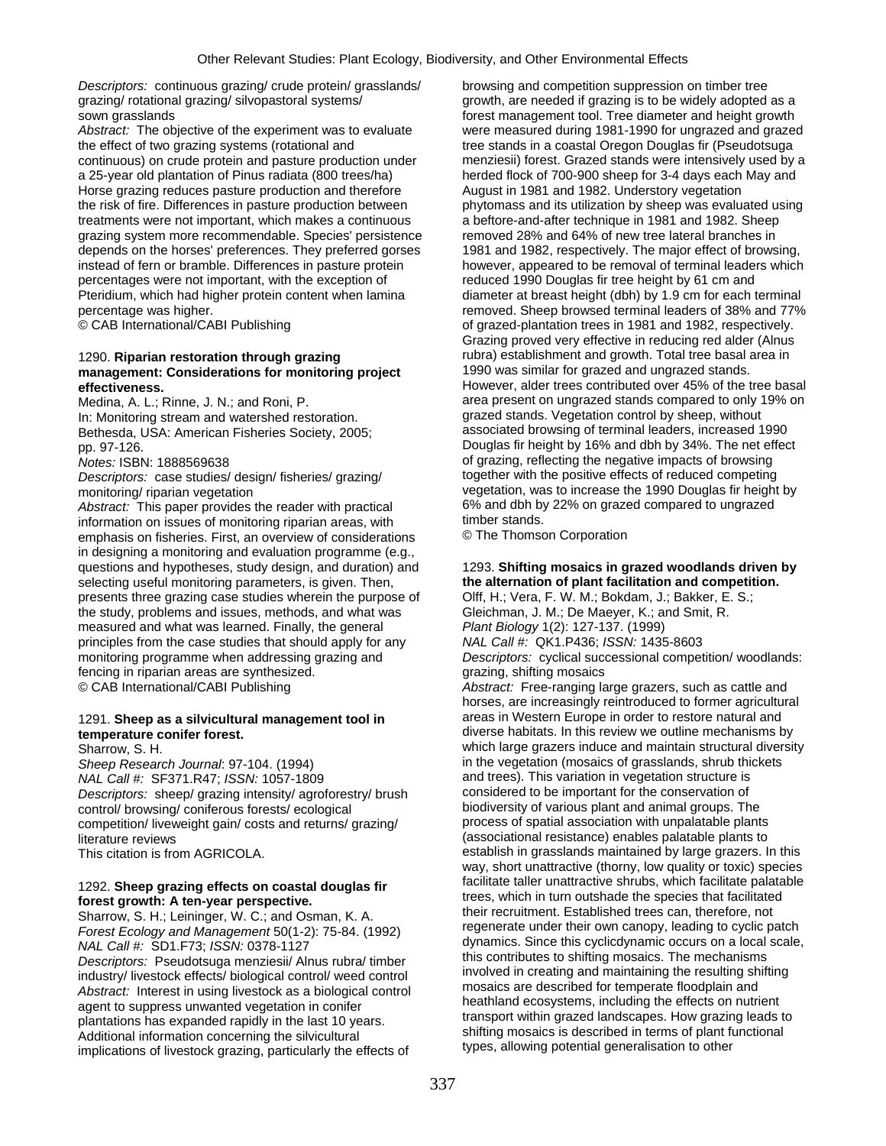*Descriptors:* continuous grazing/ crude protein/ grasslands/ browsing and competition suppression on timber tree grazing/ rotational grazing/ silvopastoral systems/ growth, are needed if grazing is to be widely adopted as a sown grasslands **forest management tool.** Tree diameter and height growth

*Abstract:* The objective of the experiment was to evaluate were measured during 1981-1990 for ungrazed and grazed the effect of two grazing systems (rotational and tree stands in a coastal Oregon Douglas fir (Pseudotsuga continuous) on crude protein and pasture production under menziesii) forest. Grazed stands were intensively used by a a 25-year old plantation of Pinus radiata (800 trees/ha) herded flock of 700-900 sheep for 3-4 days each May and Horse grazing reduces pasture production and therefore August in 1981 and 1982. Understory vegetation the risk of fire. Differences in pasture production between phytomass and its utilization by sheep was evaluated using treatments were not important, which makes a continuous a beftore-and-after technique in 1981 and 1982. Sheep grazing system more recommendable. Species' persistence removed 28% and 64% of new tree lateral branches in depends on the horses' preferences. They preferred gorses 1981 and 1982, respectively. The major effect of browsing, instead of fern or bramble. Differences in pasture protein however, appeared to be removal of terminal leaders which percentages were not important, with the exception of reduced 1990 Douglas fir tree height by 61 cm and Pteridium, which had higher protein content when lamina diameter at breast height (dbh) by 1.9 cm for each terminal

# management: Considerations for monitoring project

In: Monitoring stream and watershed restoration.

*Descriptors:* case studies/ design/ fisheries/ grazing/

Abstract: This paper provides the reader with practical 6% and dbh by<br>1. information on issues of monitoring riparian areas with timber stands. information on issues of monitoring riparian areas, with timber stands.<br>
emphasis on fisheries, First, an overview of considerations CFI (Care Thomson Corporation emphasis on fisheries. First, an overview of considerations in designing a monitoring and evaluation programme (e.g., questions and hypotheses, study design, and duration) and 1293. **Shifting mosaics in grazed woodlands driven by** selecting useful monitoring parameters, is given. Then, the alternation of plant facilitation and competition selecting useful monitoring parameters, is given. Then, **the alternation of plant facilitation and competit**<br>presents three grazing case studies wherein the purpose of Olff, H.; Vera, F. W. M.; Bokdam, J.; Bakker, E. S.; presents three grazing case studies wherein the purpose of the study, problems and issues, methods, and what was Gleichman, J. M.; De Maeyer, K.; and Smit, R. measured and what was learned. Finally, the general *Plant Biology* 1(2): 127-137. (1999) principles from the case studies that should apply for any *NAL Call #:* QK1.P436; *ISSN:* 1435-8603 fencing in riparian areas are synthesized. The state of the synthesized are synthesized. © CAB International/CABI Publishing *Abstract:* Free-ranging large grazers, such as cattle and

*NAL Call #:* SF371.R47; *ISSN:* 1057-1809 **and trees). This variation in vegetation structure is<br>Descriptors: sheep/ grazing intensity/ agroforestry/ brush considered to be important for the conservation of** *Descriptors:* sheep/ grazing intensity/ agroforestry/ brush considered to be important for the conservation of control/ browsing/ coniferous forests/ ecological biodiversity of various plant and animal groups. The control/ browsing/ coniferous forests/ ecological biodiversity of various plant and animal groups. The<br>competition/ liveweight gain/ costs and returns/ grazing/ process of spatial association with unpalatable plants competition/ liveweight gain/ costs and returns/ grazing/ literature reviews (associational resistance) enables palatable plants to

Descriptors: Pseudotsuga menziesii/ Alnus rubra/ timber<br>
industry/ livestock effects/ biological control/ weed control<br>
Abstract: Interest in using livestock as a biological control<br>
agent to suppress unwanted vegetation i

percentage was higher.<br>
© CAB International/CABI Publishing extending the state of grazed-plantation trees in 1981 and 1982, respectively. of grazed-plantation trees in 1981 and 1982, respectively. Grazing proved very effective in reducing red alder (Alnus 1290. **Riparian restoration through grazing** rubra) establishment and growth. Total tree basal area in **effectiveness.** However, alder trees contributed over 45% of the tree basal Medina, A. L.; Rinne, J. N.; and Roni, P. area present on ungrazed stands compared to only 19% on<br>In: Monitoring stream and watershed restoration. The stands of grazed stands. Vegetation control by sheep, without Bethesda, USA: American Fisheries Society, 2005; associated browsing of terminal leaders, increased 1990 pp. 97-126. Douglas fir height by 16% and dbh by 34%. The net effect Notes: ISBN: 1888569638<br> *Notes:* ISBN: 1888569638<br> *Descriptors:* case studies/ design/ fisheries/ grazing/ together with the positive effects of reduced competing monitoring/ riparian vegetation<br>Abstract: This paper provides the reader with practical 6% and dbh by 22% on grazed compared to ungrazed

Descriptors: cyclical successional competition/ woodlands:

horses, are increasingly reintroduced to former agricultural 1291. **Sheep as a silvicultural management tool in** areas in Western Europe in order to restore natural and **temperature conifer forest.**  $\overline{a}$  **diverse habitats.** In this review we outline mechanisms by Sharrow, S. H. which large grazers induce and maintain structural diversity *Sheep Research Journal*: 97-104. (1994) in the vegetation (mosaics of grasslands, shrub thickets This citation is from AGRICOLA. establish in grasslands maintained by large grazers. In this way, short unattractive (thorny, low quality or toxic) species 1292. Sheep grazing effects on coastal douglas fir<br>
forest growth: A ten-year perspective.<br>
Sharrow, S. H.; Leininger, W. C.; and Osman, K. A.<br>
Forest Ecology and Management 50(1-2): 75-84. (1992)<br>
NAL Call #: SD1.F73; ISS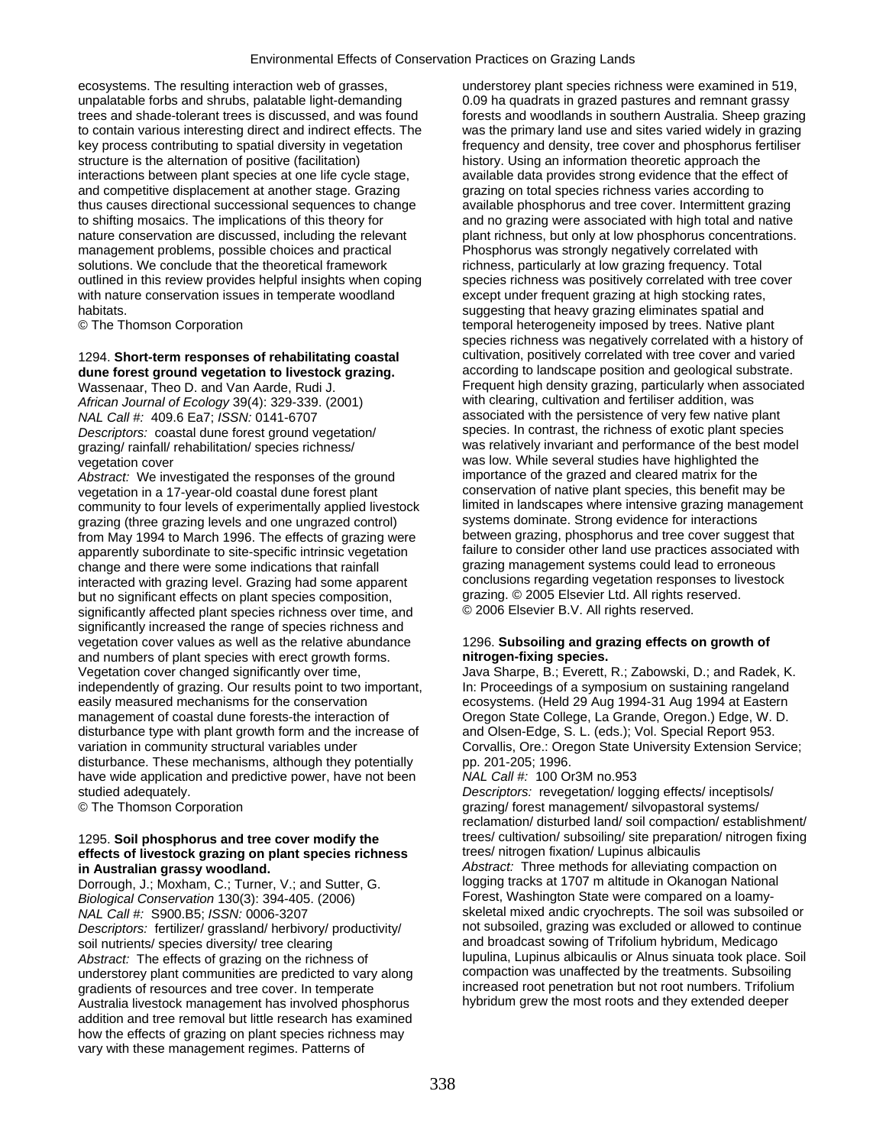ecosystems. The resulting interaction web of grasses, exampled and examined in 519, the resulting interaction web of grasses,  $m = 1$ unpalatable forbs and shrubs, palatable light-demanding 0.09 ha quadrats in grazed pastures and remnant grassy trees and shade-tolerant trees is discussed, and was found forests and woodlands in southern Australia. Sheep grazing to contain various interesting direct and indirect effects. The was the primary land use and sites varied widely in grazing key process contributing to spatial diversity in vegetation frequency and density, tree cover and phosphorus fertiliser structure is the alternation of positive (facilitation) history. Using an information theoretic approach the interactions between plant species at one life cycle stage, and available data provides strong evidence that the effect of and competitive displacement at another stage. Grazing grazing on total species richness varies according to thus causes directional successional sequences to change available phosphorus and tree cover. Intermittent grazing to shifting mosaics. The implications of this theory for and no grazing were associated with high total and native nature conservation are discussed, including the relevant plant richness, but only at low phosphorus concentrations. management problems, possible choices and practical Phosphorus was strongly negatively correlated with solutions. We conclude that the theoretical framework richness, particularly at low grazing frequency. Total outlined in this review provides helpful insights when coping species richness was positively correlated with tree cover with nature conservation issues in temperate woodland except under frequent grazing at high stocking rates, habitats. Suggesting that heavy grazing eliminates spatial and habitats.

## dune forest ground vegetation to livestock grazing.

*African Journal of Ecology* 39(4): 329-339. (2001)

*Abstract:* We investigated the responses of the ground importance of the grazed and cleared matrix for the venetition in a 17-vear-old coastal dune forest plant<br>conservation of native plant species, this benefit may be vegetation in a 17-year-old coastal dune forest plant conservation of native plant species, this benefit may be<br>community to four levels of experimentally applied livestock limited in landscapes where intensive grazing man community to four levels of experimentally applied livestock limited in landscapes where intensive grazing mana<br>The systems dominate. Strong evidence for interactions or azing the understanding the university of the system grazing (three grazing levels and one ungrazed control) systems dominate. Strong evidence for interactions<br>from May 1994 to March 1996. The effects of grazing were shetween grazing, phosphorus and tree cover suggest that from May 1994 to March 1996. The effects of grazing were apparently subordinate to site-specific intrinsic vegetation failure to consider other land use practices associated with<br>change and there were some indications that rainfall grazing management systems could lead to errone change and there were some indications that rainfall grazing management systems could lead to erroneous<br>interacted with grazing level. Grazing had some apparent conclusions regarding vegetation responses to livestock interacted with grazing level. Grazing had some apparent conclusions regarding vegetation responses to live but<br>
thut no significant effects on plant species composition grazing © 2005 Elsevier Ltd. All rights reserved. but no significant effects on plant species composition, grazing. © 2005 Elsevier Ltd. All rights reserved.<br>Significantly affected plant species richness over time and © 2006 Elsevier B.V. All rights reserved. significantly affected plant species richness over time, and significantly increased the range of species richness and vegetation cover values as well as the relative abundance 1296. **Subsoiling and grazing effects on growth of**  and numbers of plant species with erect growth forms. **nitrogen-fixing species.** Vegetation cover changed significantly over time,  $J$ gava Sharpe, B.; Everett, R.; Zabowski, D.; and Radek, K. independently of grazing. Our results point to two important, In: Proceedings of a symposium on sustaining rangeland easily measured mechanisms for the conservation ecosystems. (Held 29 Aug 1994-31 Aug 1994 at Eastern management of coastal dune forests-the interaction of Cregon State College, La Grande, Oregon.) Edge, W. D. disturbance type with plant growth form and the increase of and Olsen-Edge, S. L. (eds.); Vol. Special Report 953. disturbance type with plant growth form and the increase of variation in community structural variables under Corvallis, Ore.: Oregon State University Extension Service; disturbance. These mechanisms, although they potentially pp. 201-205; 1996. have wide application and predictive power, have not been *NAL Call #:* 100 Or3M no.953 studied adequately. *Descriptors:* revegetation/ logging effects/ inceptisols/

# effects of livestock grazing on plant species richness<br>in Australian grassy woodland.

Dorrough, J.; Moxham, C.; Turner, V.; and Sutter, G. logging tracks at 1707 m altitude in Okanogan National<br>Biological Conservation 130(3): 394-405 (2006) Forest, Washington State were compared on a loamy-*Biological Conservation* 130(3): 394-405. (2006) *Descriptors: fertilizer/ grassland/ herbivory/ productivity/* soil nutrients/ species diversity/ tree clearing and broadcast sowing of Trifolium hybridum, Medicago understorey plant communities are predicted to vary along compaction was unaffected by the treatments. Subsoiling gradients of resources and tree cover. In temperate increased root penetration but not root numbers. Trifolium<br>Australia livestock management has involved phosphorus hybridum grew the most roots and they extended deeper Australia livestock management has involved phosphorus addition and tree removal but little research has examined how the effects of grazing on plant species richness may vary with these management regimes. Patterns of

© The Thomson Corporation temporal heterogeneity imposed by trees. Native plant species richness was negatively correlated with a history of 1294. **Short-term responses of rehabilitating coastal** cultivation, positively correlated with tree cover and varied Wassenaar, Theo D. and Van Aarde, Rudi J. Frequent high density grazing, particularly when associated Minister and Territorian African Journal of Feology 39(4): 329-339. (2001) *NAL Call #:* 409.6 Ea7; *ISSN:* 0141-6707 *I* associated with the persistence of very few native plant *Descriptors:* coastal dune forest ground vegetation/ species. In contrast, the richness of exotic plant species grazing/ rainfall/ rehabilitation/ species richness/ was relatively invariant and performance of the best model vegetation cover<br>
vegetation cover<br>
Abstract: We investigated the responses of the ground<br>
Mostract: We investigated the responses of the ground<br>
importance of the grazed and cleared matrix for the

© The Thomson Corporation Grazing method is a grazing forest management is subposted systems of the systems of the systems of the systems of the systems of the systems of the systems of the systems of the systems of the sy reclamation/ disturbed land/ soil compaction/ establishment/ 1295. **Soil phosphorus and tree cover modify the trees/ cultivation/ subsoiling/ site preparation/ nitrogen fixing effects of livestock grazing on plant species richness trees/ nitrogen fixation/ Lupinus albicaulis** 

Abstract: Three methods for alleviating compaction on logging tracks at 1707 m altitude in Okanogan National *NAL Call #:* S900.B5; *ISSN:* 0006-3207 skeletal mixed andic cryochrepts. The soil was subsoiled or<br>Descriptors: fertilizer/ grassland/ herbivory/ productivity/ not subsoiled, grazing was excluded or allowed to continue *Abstract:* The effects of grazing on the richness of lupulina, Lupinus albicaulis or Alnus sinuata took place. Soil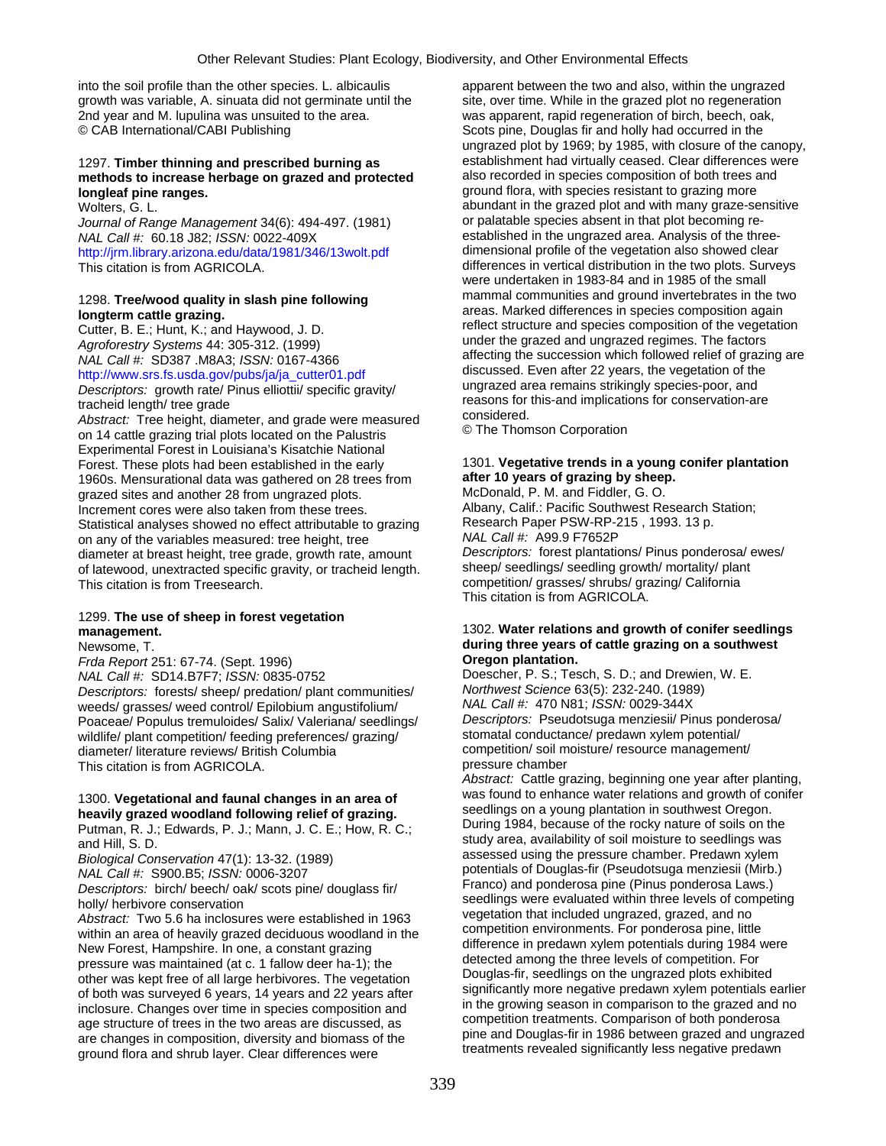into the soil profile than the other species. L. albicaulis apparent between the two and also, within the ungrazed growth was variable, A. sinuata did not germinate until the site, over time. While in the grazed plot no regeneration 2nd year and M. lupulina was unsuited to the area.<br>
© CAB International/CABI Publishing example area. Scots pine, Douglas fir and holly had occurred in the

## methods to increase herbage on grazed and protected **longleaf pine ranges.**  $\overline{a}$  **in the set of the set of ground flora, with species resistant to grazing more**

*Journal of Range Management* 34(6): 494-497. (1981)<br>NAL Call #: 60.18 J82; ISSN: 0022-409X http://jrm.library.arizona.edu/data/1981/346/13wolt.pdf

Experimental Forest in Louisiana's Kisatchie National Forest. These plots had been established in the early **1301.** Vegetative trends in a young conifer plantation **1960s** Mensurational data was gathered on 28 trees from **after 10 years of grazing by sheep.** 1960s. Mensurational data was gathered on 28 trees from **after 10 years of grazing by sheep.**  grazed sites and another 28 from ungrazed plots. Multimated McDonald, P. M. and Fiddler, G. O.<br>Increment cores were also taken from these trees. Malbany, Calif.: Pacific Southwest Research Station; Increment cores were also taken from these trees. Albany, Calif.: Pacific Southwest Research Statistical analyses showed no effect attributable to grazing Research Paper PSW-RP-215 , 1993. 13 p. Statistical analyses showed no effect attributable to grazing Research Paper PSW-RP-2<br>Son any of the variables measured: tree height tree Network MAL Call #: A99.9 F7652P on any of the variables measured: tree height, tree *NAL Call #:* A99.9 F7652P diameter at breast height, tree grade, growth rate, amount *Descriptors:* forest plantations/ Pinus ponderosa/ e<br>of latewood, unextracted specific gravity, or tracheid length, sheep/ seedlings/ seedling growth/ mortality/ of latewood, unextracted specific gravity, or tracheid length. This citation is from Treesearch. competition/ grasses/ shrubs/ grazing/ California

## 1299. **The use of sheep in forest vegetation**

*Frda Report* 251: 67-74. (Sept. 1996) *NAL Call #:* SD14.B7F7; *ISSN:* 0835-0752 Doescher, P. S.; Tesch, S. D.; and Drewien, W. E.<br>Descriptors: forests/ sheep/ predation/ plant communities/ Northwest Science 63(5): 232-240. (1989) *Descriptors:* forests/ sheep/ predation/ plant communities/ *Northwest Science* 63(5): 232-240. (1989) weeds/ grasses/ weed control/ Epilobium angustifolium/ *NAL Call #:* 470 N81; *ISSN:* 0029-344X Poaceae/ Populus tremuloides/ Salix/ Valeriana/ seedlings/ *Descriptors:* Pseudotsuga menziesii/ Pinus ponc<br>//wildlife/ plant competition/ feeding preferences/ grazing/ stomatal conductance/ predawn xylem potential wildlife/ plant competition/ feeding preferences/ grazing/ diameter/ literature reviews/ British Columbia competition/ soil moisture/ resource management/<br>This citation is from AGRICOLA This citation is from AGRICOLA.

within an area of heavily grazed deciduous woodland in the<br>
New Forest, Hampshire. In one, a constant grazing<br>
pressure was maintained (at c. 1 fallow deer ha-1); the<br>
other was kept free of all large herbivores. The veget

Scots pine, Douglas fir and holly had occurred in the ungrazed plot by 1969; by 1985, with closure of the canopy, 1297. **Timber thinning and prescribed burning as** establishment had virtually ceased. Clear differences were Wolters, G. L.<br>
Journal of Range Management 34(6): 494-497. (1981) **abundant in the grazed plot and with many graze-sensitive**<br>
or palatable species absent in that plot becoming reestablished in the ungrazed area. Analysis of the three-<br>dimensional profile of the vegetation also showed clear This citation is from AGRICOLA. **differences in vertical distribution in the two plots. Surveys** were undertaken in 1983-84 and in 1985 of the small 1298. Tree/wood quality in slash pine following<br>
longterm cattle grazing.<br>
Cutter, B. E.; Hunt, K.; and Haywood, J. D.<br>
Agroforestry Systems 44: 305-312. (1999)<br>
MAL Call #: SD387 .M8A3; ISSN: 0167-4366<br>
MAL Call #: SD387 [http://www.srs.fs.usda.gov/pubs/ja/ja\\_cutter01.pdf](http://www.srs.fs.usda.gov/pubs/ja/ja_cutter01.pdf) discussed. Even after 22 years, the vegetation of the Descriptors: growth rate/ Pinus elliottii/ specific gravity/<br>
Descriptors: growth rate/ Pinus elliottii/ specific gra

This citation is from AGRICOLA.

## **management.** 1302. **Water relations and growth of conifer seedlings**  Newsome, T. **During three years of cattle grazing on a southwest** during three years of cattle grazing on a southwest **Free Report 251: 67-74.** (Sept. 1996)

*Abstract:* Cattle grazing, beginning one year after planting, 1300. Vegetational and faunal changes in an area of<br> **heavily grazed woodland following relief of grazing.**<br>
Putman, R. J.; Edwards, P. J.; Mann, J. C. E.; How, R. C.;<br>
and Hill, S. D.<br>
Biological Conservation 47(1): 13-32 NAL Call #: S900.B5; ISSN: 0006-3207<br>
Descriptors: birch/ beech/ oak/ scots pine/ douglass fir/<br>
holly/ herbivore conservation<br>
Abstract: Two 5.6 ha inclosures were established in 1963<br>
within an area of heavily grazed dec